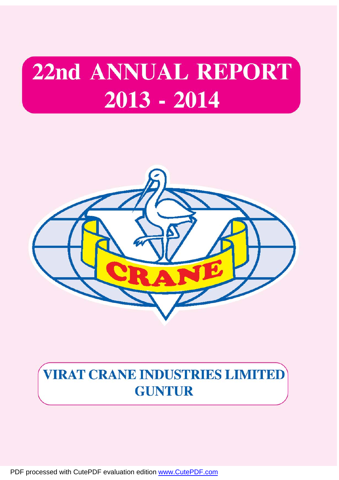# 22nd ANNUAL REPORT  $2013 - 2014$



### **VIRAT CRANE INDUSTRIES LIMITED GUNTUR**

PDF processed with CutePDF evaluation edition [www.CutePDF.com](http://www.cutepdf.com)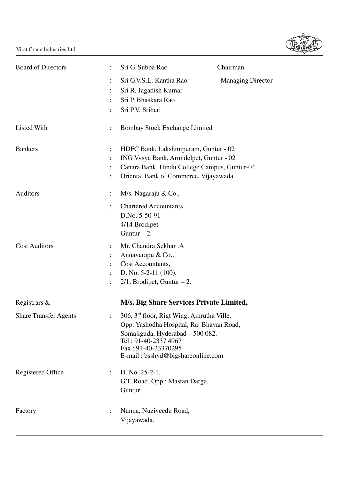

| <b>Board of Directors</b>    | ÷                                | Sri G. Subba Rao                                                                                                                                                                                                          | Chairman                 |
|------------------------------|----------------------------------|---------------------------------------------------------------------------------------------------------------------------------------------------------------------------------------------------------------------------|--------------------------|
|                              |                                  | Sri G.V.S.L. Kantha Rao<br>Sri R. Jagadish Kumar<br>Sri P. Bhaskara Rao<br>Sri P.V. Srihari                                                                                                                               | <b>Managing Director</b> |
| <b>Listed With</b>           |                                  | <b>Bombay Stock Exchange Limited</b>                                                                                                                                                                                      |                          |
| <b>Bankers</b>               | $\vdots$<br>$\ddot{\cdot}$       | HDFC Bank, Lakshmipuram, Guntur - 02<br>ING Vysya Bank, Arundelpet, Guntur - 02<br>Canara Bank, Hindu College Campus, Guntur-04<br>Oriental Bank of Commerce, Vijayawada                                                  |                          |
| <b>Auditors</b>              | $\vdots$                         | M/s. Nagaraju & Co.,                                                                                                                                                                                                      |                          |
|                              | $\ddot{\cdot}$                   | <b>Chartered Accountants</b><br>D.No. 5-50-91<br>4/14 Brodipet<br>Guntur $-2$ .                                                                                                                                           |                          |
| <b>Cost Auditors</b>         | $\ddot{\cdot}$<br>$\ddot{\cdot}$ | Mr. Chandra Sekhar .A<br>Annavarapu & Co.,<br>Cost Accountants,<br>D. No. $5-2-11$ (100),<br>$2/1$ , Brodipet, Guntur – 2.                                                                                                |                          |
| Registrars &                 |                                  | M/s. Big Share Services Private Limited,                                                                                                                                                                                  |                          |
| <b>Share Transfer Agents</b> |                                  | 306, 3 <sup>rd</sup> floor, Rigt Wing, Amrutha Ville,<br>Opp. Yashodha Hospital, Raj Bhavan Road,<br>Somajiguda, Hyderabad – 500 082.<br>Tel: 91-40-2337 4967<br>Fax: 91-40-23370295<br>E-mail: bsshyd@bigshareonline.com |                          |
| Registered Office            | $\ddot{\cdot}$                   | D. No. 25-2-1,<br>G.T. Road, Opp.: Mastan Darga,<br>Guntur.                                                                                                                                                               |                          |
| Factory                      |                                  | Nunna, Nuziveedu Road,<br>Vijayawada.                                                                                                                                                                                     |                          |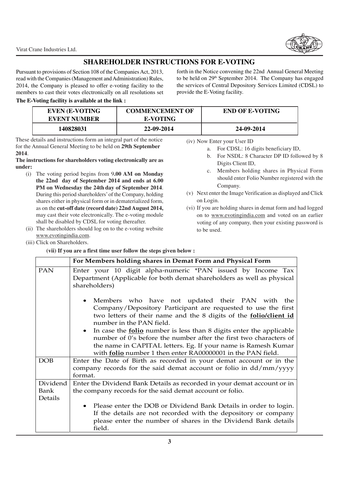

#### **SHAREHOLDER INSTRUCTIONS FOR E-VOTING**

Pursuant to provisions of Section 108 of the Companies Act, 2013, read with the Companies (Management and Administration) Rules, 2014, the Company is pleased to offer e-voting facility to the members to cast their votes electronically on all resolutions set forth in the Notice convening the 22nd Annual General Meeting to be held on  $29<sup>th</sup>$  September 2014. The Company has engaged the services of Central Depository Services Limited (CDSL) to provide the E-Voting facility.

#### **The E-Voting facility is available at the link :**

| <b>EVEN (E-VOTING)</b> | <b>COMMENCEMENT OF</b> | <b>END OF E-VOTING</b> |
|------------------------|------------------------|------------------------|
| <b>EVENT NUMBER</b>    | E-VOTING               |                        |
| 140828031              | 22-09-2014             | 24-09-2014             |

These details and instructions form an integral part of the notice for the Annual General Meeting to be held on **29th September 2014**.

#### **The instructions for shareholders voting electronically are as under:**

- (i) The voting period begins from 9**.00 AM on Monday the 22nd day of September 2014 and ends at 6.00 PM on Wednesday the 24th day of September 2014**. During this period shareholders' of the Company, holding shares either in physical form or in dematerialized form, as on the **cut-off date (record date) 22nd August 2014,** may cast their vote electronically. The e-voting module shall be disabled by CDSL for voting thereafter.
- (ii) The shareholders should log on to the e-voting website www.evotingindia.com.
- (iii) Click on Shareholders.

(iv) Now Enter your User ID a. For CDSL: 16 digits beneficiary ID,

- b. For NSDL: 8 Character DP ID followed by 8 Digits Client ID,
- c. Members holding shares in Physical Form should enter Folio Number registered with the Company.
- (v) Next enter the Image Verification as displayed and Click on Login.
- (vi) If you are holding shares in demat form and had logged on to www.evotingindia.com and voted on an earlier voting of any company, then your existing password is to be used.

**(vii) If you are a first time user follow the steps given below :**

|                             | For Members holding shares in Demat Form and Physical Form                                                                                                                                                                                                                                                                                                                                                                                                                                                  |
|-----------------------------|-------------------------------------------------------------------------------------------------------------------------------------------------------------------------------------------------------------------------------------------------------------------------------------------------------------------------------------------------------------------------------------------------------------------------------------------------------------------------------------------------------------|
| <b>PAN</b>                  | Enter your 10 digit alpha-numeric *PAN issued by Income Tax<br>Department (Applicable for both demat shareholders as well as physical<br>shareholders)                                                                                                                                                                                                                                                                                                                                                      |
|                             | Members who have not updated their PAN with the<br>Company/Depository Participant are requested to use the first<br>two letters of their name and the 8 digits of the <b>folio/client id</b><br>number in the PAN field.<br>In case the <b>folio</b> number is less than 8 digits enter the applicable<br>number of 0's before the number after the first two characters of<br>the name in CAPITAL letters. Eg. If your name is Ramesh Kumar<br>with folio number 1 then enter RA00000001 in the PAN field. |
| DOB                         | Enter the Date of Birth as recorded in your demat account or in the<br>company records for the said demat account or folio in $\frac{dd}{mm}$ /yyyy<br>format.                                                                                                                                                                                                                                                                                                                                              |
| Dividend<br>Bank<br>Details | Enter the Dividend Bank Details as recorded in your demat account or in<br>the company records for the said demat account or folio.                                                                                                                                                                                                                                                                                                                                                                         |
|                             | Please enter the DOB or Dividend Bank Details in order to login.<br>If the details are not recorded with the depository or company<br>please enter the number of shares in the Dividend Bank details<br>field.                                                                                                                                                                                                                                                                                              |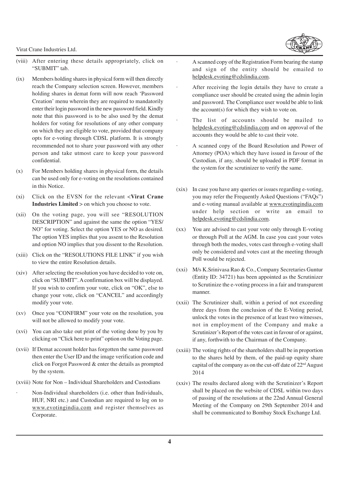

- (viii) After entering these details appropriately, click on "SUBMIT" tab.
- (ix) Members holding shares in physical form will then directly reach the Company selection screen. However, members holding shares in demat form will now reach 'Password Creation' menu wherein they are required to mandatorily enter their login password in the new password field. Kindly note that this password is to be also used by the demat holders for voting for resolutions of any other company on which they are eligible to vote, provided that company opts for e-voting through CDSL platform. It is strongly recommended not to share your password with any other person and take utmost care to keep your password confidential.
- (x) For Members holding shares in physical form, the details can be used only for e-voting on the resolutions contained in this Notice.
- (xi) Click on the EVSN for the relevant <**Virat Crane Industries Limited** > on which you choose to vote.
- (xii) On the voting page, you will see "RESOLUTION DESCRIPTION" and against the same the option "YES/ NO" for voting. Select the option YES or NO as desired. The option YES implies that you assent to the Resolution and option NO implies that you dissent to the Resolution.
- (xiii) Click on the "RESOLUTIONS FILE LINK" if you wish to view the entire Resolution details.
- (xiv) After selecting the resolution you have decided to vote on, click on "SUBMIT". A confirmation box will be displayed. If you wish to confirm your vote, click on "OK", else to change your vote, click on "CANCEL" and accordingly modify your vote.
- (xv) Once you "CONFIRM" your vote on the resolution, you will not be allowed to modify your vote.
- (xvi) You can also take out print of the voting done by you by clicking on "Click here to print" option on the Voting page.
- (xvii) If Demat account holder has forgotten the same password then enter the User ID and the image verification code and click on Forgot Password & enter the details as prompted by the system.
- (xviii) Note for Non Individual Shareholders and Custodians
	- Non-Individual shareholders (i.e. other than Individuals, HUF, NRI etc.) and Custodian are required to log on to www.evotingindia.com and register themselves as Corporate.
- A scanned copy of the Registration Form bearing the stamp and sign of the entity should be emailed to helpdesk.evoting@cdslindia.com.
- After receiving the login details they have to create a compliance user should be created using the admin login and password. The Compliance user would be able to link the account(s) for which they wish to vote on.
- The list of accounts should be mailed to helpdesk.evoting@cdslindia.com and on approval of the accounts they would be able to cast their vote.
- A scanned copy of the Board Resolution and Power of Attorney (POA) which they have issued in favour of the Custodian, if any, should be uploaded in PDF format in the system for the scrutinizer to verify the same.
- (xix) In case you have any queries or issues regarding e-voting, you may refer the Frequently Asked Questions ("FAQs") and e-voting manual available at www.evotingindia.com under help section or write an email to helpdesk.evoting@cdslindia.com.
- (xx) You are advised to cast your vote only through E-voting or through Poll at the AGM. In case you cast your votes through both the modes, votes cast through e-voting shall only be considered and votes cast at the meeting through Poll would be rejected.
- (xxi) M/s K.Srinivasa Rao & Co., Company Secretaries Guntur (Entity ID: 34721) has been appointed as the Scrutinizer to Scrutinize the e-voting process in a fair and transparent manner.
- (xxii) The Scrutinizer shall, within a period of not exceeding three days from the conclusion of the E-Voting period, unlock the votes in the presence of at least two witnesses, not in employment of the Company and make a Scrutinizer's Report of the votes cast in favour of or against, if any, forthwith to the Chairman of the Company.
- (xxiii) The voting rights of the shareholders shall be in proportion to the shares held by them, of the paid-up equity share capital of the company as on the cut-off date of 22nd August 2014
- (xxiv) The results declared along with the Scrutinizer's Report shall be placed on the website of CDSL within two days of passing of the resolutions at the 22nd Annual General Meeting of the Company on 29th September 2014 and shall be communicated to Bombay Stock Exchange Ltd.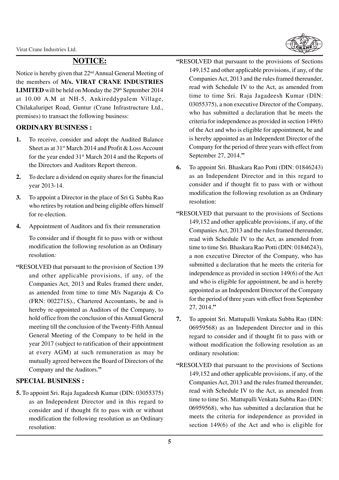#### **NOTICE:**

Notice is hereby given that 22nd Annual General Meeting of the members of **M/s. VIRAT CRANE INDUSTRIES LIMITED** will be held on Monday the  $29<sup>th</sup>$  September 2014 at 10.00 A.M at NH-5, Ankireddypalem Village, Chilakaluripet Road, Guntur (Crane Infrastructure Ltd., premises) to transact the following business:

#### **ORDINARY BUSINESS :**

- **1.** To receive, consider and adopt the Audited Balance Sheet as at 31<sup>st</sup> March 2014 and Profit & Loss Account for the year ended 31st March 2014 and the Reports of the Directors and Auditors Report thereon.
- **2.** To declare a dividend on equity shares for the financial year 2013-14.
- **3.** To appoint a Director in the place of Sri G. Subba Rao who retires by rotation and being eligible offers himself for re-election.
- **4.** Appointment of Auditors and fix their remuneration

To consider and if thought fit to pass with or without modification the following resolution as an Ordinary resolution*:*

**"**RESOLVED that pursuant to the provision of Section 139 and other applicable provisions, if any, of the Companies Act, 2013 and Rules framed there under, as amended from time to time M/s Nagaraju & Co (FRN: 002271S)., Chartered Accountants, be and is hereby re-appointed as Auditors of the Company, to hold office from the conclusion of this Annual General meeting till the conclusion of the Twenty-Fifth Annual General Meeting of the Company to be held in the year 2017 (subject to ratification of their appointment at every AGM) at such remuneration as may be mutually agreed between the Board of Directors of the Company and the Auditors.**"**

#### **SPECIAL BUSINESS :**

**5.** To appoint Sri. Raja Jagadeesh Kumar (DIN: 03055375) as an Independent Director and in this regard to consider and if thought fit to pass with or without modification the following resolution as an Ordinary resolution:

- **"**RESOLVED that pursuant to the provisions of Sections 149,152 and other applicable provisions, if any, of the Companies Act, 2013 and the rules framed thereunder, read with Schedule IV to the Act, as amended from time to time Sri. Raja Jagadeesh Kumar (DIN: 03055375), a non executive Director of the Company, who has submitted a declaration that he meets the criteria for independence as provided in section 149(6) of the Act and who is eligible for appointment, be and is hereby appointed as an Independent Director of the Company for the period of three years with effect from September 27, 2014.**"**
- **6.** To appoint Sri. Bhaskara Rao Potti (DIN: 01846243) as an Independent Director and in this regard to consider and if thought fit to pass with or without modification the following resolution as an Ordinary resolution:
- **"**RESOLVED that pursuant to the provisions of Sections 149,152 and other applicable provisions, if any, of the Companies Act, 2013 and the rules framed thereunder, read with Schedule IV to the Act, as amended from time to time Sri. Bhaskara Rao Potti (DIN: 01846243), a non executive Director of the Company, who has submitted a declaration that he meets the criteria for independence as provided in section 149(6) of the Act and who is eligible for appointment, be and is hereby appointed as an Independent Director of the Company for the period of three years with effect from September 27, 2014.**"**
- **7.** To appoint Sri. Mattupalli Venkata Subba Rao (DIN: 06959568) as an Independent Director and in this regard to consider and if thought fit to pass with or without modification the following resolution as an ordinary resolution:
- **"**RESOLVED that pursuant to the provisions of Sections 149,152 and other applicable provisions, if any, of the Companies Act, 2013 and the rules framed thereunder, read with Schedule IV to the Act, as amended from time to time Sri. Mattupalli Venkata Subba Rao (DIN: 06959568), who has submitted a declaration that he meets the criteria for independence as provided in section 149(6) of the Act and who is eligible for

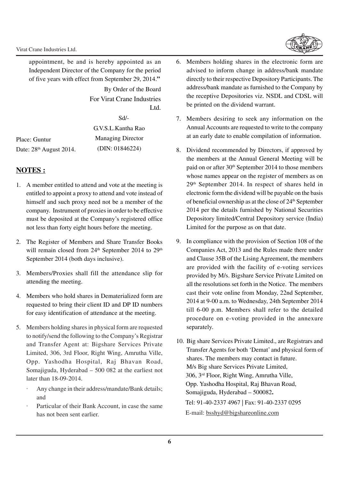appointment, be and is hereby appointed as an Independent Director of the Company for the period of five years with effect from September 29, 2014.**"** By Order of the Board

For Virat Crane Industries Ltd.

Sd/-

|                           | G.V.S.L.Kantha Rao       |
|---------------------------|--------------------------|
| Place: Guntur             | <b>Managing Director</b> |
| Date: $28th$ August 2014. | (DIN: 01846224)          |

#### **NOTES :**

- 1. A member entitled to attend and vote at the meeting is entitled to appoint a proxy to attend and vote instead of himself and such proxy need not be a member of the company. Instrument of proxies in order to be effective must be deposited at the Company's registered office not less than forty eight hours before the meeting.
- 2. The Register of Members and Share Transfer Books will remain closed from 24<sup>th</sup> September 2014 to 29<sup>th</sup> September 2014 (both days inclusive).
- 3. Members/Proxies shall fill the attendance slip for attending the meeting.
- 4. Members who hold shares in Dematerialized form are requested to bring their client ID and DP ID numbers for easy identification of attendance at the meeting.
- 5. Members holding shares in physical form are requested to notify/send the following to the Company's Registrar and Transfer Agent at: Bigshare Services Private Limited, 306, 3rd Floor, Right Wing, Amrutha Ville, Opp. Yashodha Hospital, Raj Bhavan Road, Somajiguda, Hyderabad – 500 082 at the earliest not later than 18-09-2014.
	- Any change in their address/mandate/Bank details; and
	- Particular of their Bank Account, in case the same has not been sent earlier.
- 6. Members holding shares in the electronic form are advised to inform change in address/bank mandate directly to their respective Depository Participants. The address/bank mandate as furnished to the Company by the receptive Depositories viz. NSDL and CDSL will be printed on the dividend warrant.
- 7. Members desiring to seek any information on the Annual Accounts are requested to write to the company at an early date to enable compilation of information.
- 8. Dividend recommended by Directors, if approved by the members at the Annual General Meeting will be paid on or after 30<sup>th</sup> September 2014 to those members whose names appear on the register of members as on 29th September 2014. In respect of shares held in electronic form the dividend will be payable on the basis of beneficial ownership as at the close of 24<sup>th</sup> September 2014 per the details furnished by National Securities Depository limited/Central Depository service (India) Limited for the purpose as on that date.
- 9. In compliance with the provision of Section 108 of the Companies Act, 2013 and the Rules made there under and Clause 35B of the Lising Agreement, the members are provided with the facility of e-voting services provided by M/s. Bigshare Service Private Limited on all the resolutions set forth in the Notice. The members cast their vote online from Monday, 22nd September, 2014 at 9-00 a.m. to Wednesday, 24th September 2014 till 6-00 p.m. Members shall refer to the detailed procedure on e-voting provided in the annexure separately.
- 10. Big share Services Private Limited., are Registrars and Transfer Agents for both 'Demat' and physical form of shares. The members may contact in future. M/s Big share Services Private Limited, 306, 3rd Floor, Right Wing, Amrutha Ville, Opp. Yashodha Hospital, Raj Bhavan Road, Somajiguda, Hyderabad – 500082**.** Tel: 91-40-2337 4967 | Fax: 91-40-2337 0295 E-mail: bsshyd@bigshareonline.com

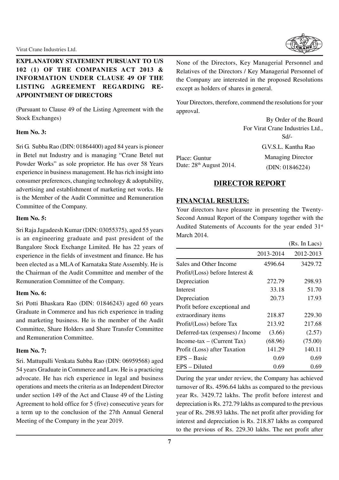**EXPLANATORY STATEMENT PURSUANT TO U/S 102 (1) OF THE COMPANIES ACT 2013 & INFORMATION UNDER CLAUSE 49 OF THE LISTING AGREEMENT REGARDING RE-APPOINTMENT OF DIRECTORS**

(Pursuant to Clause 49 of the Listing Agreement with the Stock Exchanges)

#### **Item No. 3:**

Sri G. Subba Rao (DIN: 01864400) aged 84 years is pioneer in Betel nut Industry and is managing "Crane Betel nut Powder Works" as sole proprietor. He has over 58 Years experience in business management. He has rich insight into consumer preferences, changing technology & adoptability, advertising and establishment of marketing net works. He is the Member of the Audit Committee and Remuneration Committee of the Company.

#### **Item No. 5:**

Sri Raja Jagadeesh Kumar (DIN: 03055375), aged 55 years is an engineering graduate and past president of the Bangalore Stock Exchange Limited. He has 22 years of experience in the fields of investment and finance. He has been elected as a MLA of Karnataka State Assembly. He is the Chairman of the Audit Committee and member of the Remuneration Committee of the Company.

#### **Item No. 6:**

Sri Potti Bhaskara Rao (DIN: 01846243) aged 60 years Graduate in Commerce and has rich experience in trading and marketing business. He is the member of the Audit Committee, Share Holders and Share Transfer Committee and Remuneration Committee.

#### **Item No. 7:**

Sri. Mattupalli Venkata Subba Rao (DIN: 06959568) aged 54 years Graduate in Commerce and Law. He is a practicing advocate. He has rich experience in legal and business operations and meets the criteria as an Independent Director under section 149 of the Act and Clause 49 of the Listing Agreement to hold office for 5 (five) consecutive years for a term up to the conclusion of the 27th Annual General Meeting of the Company in the year 2019.



None of the Directors, Key Managerial Personnel and Relatives of the Directors / Key Managerial Personnel of the Company are interested in the proposed Resolutions except as holders of shares in general.

Your Directors, therefore, commend the resolutions for your approval.

|                                                      | By Order of the Board            |
|------------------------------------------------------|----------------------------------|
|                                                      | For Virat Crane Industries Ltd., |
| Place: Guntur<br>Date: 28 <sup>th</sup> August 2014. | Sd/-                             |
|                                                      | G.V.S.L. Kantha Rao              |
|                                                      | <b>Managing Director</b>         |
|                                                      | (DIN: 01846224)                  |

#### **DIRECTOR REPORT**

#### **FINANCIAL RESULTS:**

Your directors have pleasure in presenting the Twenty-Second Annual Report of the Company together with the Audited Statements of Accounts for the year ended 31st March 2014.

|                                    |           | (Rs. In Lacs) |
|------------------------------------|-----------|---------------|
|                                    | 2013-2014 | 2012-2013     |
| Sales and Other Income             | 4596.64   | 3429.72       |
| Profit/(Loss) before Interest $\&$ |           |               |
| Depreciation                       | 272.79    | 298.93        |
| Interest                           | 33.18     | 51.70         |
| Depreciation                       | 20.73     | 17.93         |
| Profit before exceptional and      |           |               |
| extraordinary items                | 218.87    | 229.30        |
| Profit/(Loss) before Tax           | 213.92    | 217.68        |
| Deferred-tax (expenses) / Income   | (3.66)    | (2.57)        |
| $Income$ -tax – (Current Tax)      | (68.96)   | (75.00)       |
| Profit (Loss) after Taxation       | 141.29    | 140.11        |
| $EPS - Basic$                      | 0.69      | 0.69          |
| EPS – Diluted                      | 0.69      | 0.69          |

During the year under review, the Company has achieved turnover of Rs. 4596.64 lakhs as compared to the previous year Rs. 3429.72 lakhs. The profit before interest and depreciation is Rs. 272.79 lakhs as compared to the previous year of Rs. 298.93 lakhs. The net profit after providing for interest and depreciation is Rs. 218.87 lakhs as compared to the previous of Rs. 229.30 lakhs. The net profit after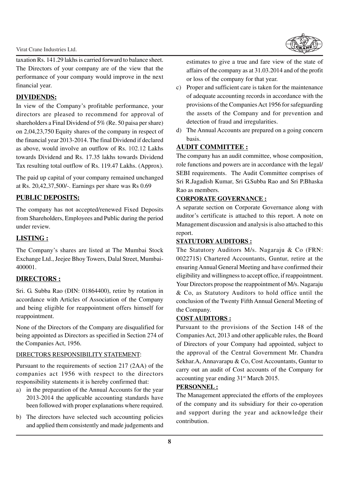

taxation Rs. 141.29 lakhs is carried forward to balance sheet. The Directors of your company are of the view that the performance of your company would improve in the next financial year.

#### **DIVIDENDS:**

In view of the Company's profitable performance, your directors are pleased to recommend for approval of shareholders a Final Dividend of 5% (Re. 50 paisa per share) on 2,04,23,750 Equity shares of the company in respect of the financial year 2013-2014. The final Dividend if declared as above, would involve an outflow of Rs. 102.12 Lakhs towards Dividend and Rs. 17.35 lakhs towards Dividend Tax resulting total outflow of Rs. 119.47 Lakhs. (Approx).

The paid up capital of your company remained unchanged at Rs. 20,42,37,500/-. Earnings per share was Rs 0.69

#### **PUBLIC DEPOSITS:**

The company has not accepted/renewed Fixed Deposits from Shareholders, Employees and Public during the period under review.

#### **LISTING :**

The Company's shares are listed at The Mumbai Stock Exchange Ltd., Jeejee Bhoy Towers, Dalal Street, Mumbai-400001.

#### **DIRECTORS :**

Sri. G. Subba Rao (DIN: 01864400), retire by rotation in accordance with Articles of Association of the Company and being eligible for reappointment offers himself for reappointment.

None of the Directors of the Company are disqualified for being appointed as Directors as specified in Section 274 of the Companies Act, 1956.

#### DIRECTORS RESPONSIBILITY STATEMENT:

Pursuant to the requirements of section 217 (2AA) of the companies act 1956 with respect to the directors responsibility statements it is hereby confirmed that:

- a) in the preparation of the Annual Accounts for the year 2013-2014 the applicable accounting standards have been followed with proper explanations where required.
- b) The directors have selected such accounting policies and applied them consistently and made judgements and

estimates to give a true and fare view of the state of affairs of the company as at 31.03.2014 and of the profit or loss of the company for that year.

- c) Proper and sufficient care is taken for the maintenance of adequate accounting records in accordance with the provisions of the Companies Act 1956 for safeguarding the assets of the Company and for prevention and detection of fraud and irregularities.
- d) The Annual Accounts are prepared on a going concern basis.

#### **AUDIT COMMITTEE :**

The company has an audit committee, whose composition, role functions and powers are in accordance with the legal/ SEBI requirements. The Audit Committee comprises of Sri R.Jagadish Kumar, Sri G.Subba Rao and Sri P.Bhaska Rao as members.

#### **CORPORATE GOVERNANCE :**

A separate section on Corporate Governance along with auditor's certificate is attached to this report. A note on Management discussion and analysis is also attached to this report.

#### **STATUTORY AUDITORS :**

The Statutory Auditors M/s. Nagaraju & Co (FRN: 002271S) Chartered Accountants, Guntur, retire at the ensuring Annual General Meeting and have confirmed their eligibility and willingness to accept office, if reappointment. Your Directors propose the reappointment of M/s. Nagaraju & Co, as Statutory Auditors to hold office until the conclusion of the Twenty Fifth Annual General Meeting of the Company.

#### **COST AUDITORS :**

Pursuant to the provisions of the Section 148 of the Companies Act, 2013 and other applicable rules, the Board of Directors of your Company had appointed, subject to the approval of the Central Government Mr. Chandra Sekhar.A, Annavarapu & Co, Cost Accountants, Guntur to carry out an audit of Cost accounts of the Company for accounting year ending 31<sup>st</sup> March 2015.

#### **PERSONNEL :**

The Management appreciated the efforts of the employees of the company and its subsidiary for their co-operation and support during the year and acknowledge their contribution.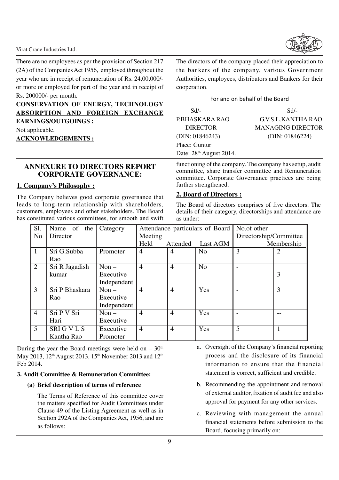There are no employees as per the provision of Section 217 (2A) of the Companies Act 1956, employed throughout the year who are in receipt of remuneration of Rs. 24,00,000/ or more or employed for part of the year and in receipt of Rs. 200000/- per month.

#### **CONSERVATION OF ENERGY, TECHNOLOGY ABSORPTION AND FOREIGN EXCHANGE EARNINGS/OUTGOINGS :**

Not applicable.

**ACKNOWLEDGEMENTS :**

#### The directors of the company placed their appreciation to the bankers of the company, various Government Authorities, employees, distributors and Bankers for their cooperation.

#### For and on behalf of the Board

| Sd/-                                | Sd/                      |
|-------------------------------------|--------------------------|
| P.BHASKARA RAO                      | G.V.S.L.KANTHA RAO       |
| <b>DIRECTOR</b>                     | <b>MANAGING DIRECTOR</b> |
| (DIN: 01846243)                     | (DIN: 01846224)          |
| Place: Guntur                       |                          |
| Date: 28 <sup>th</sup> August 2014. |                          |

#### **ANNEXURE TO DIRECTORS REPORT CORPORATE GOVERNANCE:**

#### **1. Company's Philosophy :**

The Company believes good corporate governance that leads to long-term relationship with shareholders, customers, employees and other stakeholders. The Board has constituted various committees, for smooth and swift functioning of the company. The company has setup, audit committee, share transfer committee and Remuneration committee. Corporate Governance practices are being further strengthened.

#### **2. Board of Directors :**

The Board of directors comprises of five directors. The details of their category, directorships and attendance are as under:

| Sl.            | Name of<br>the | Category    | Attendance particulars of Board |                |                | No.of other            |                |
|----------------|----------------|-------------|---------------------------------|----------------|----------------|------------------------|----------------|
| N <sub>0</sub> | Director       |             | Meeting                         |                |                | Directorship/Committee |                |
|                |                |             | Held                            | Attended       | Last AGM       |                        | Membership     |
| $\mathbf{1}$   | Sri G.Subba    | Promoter    | $\overline{4}$                  | $\overline{4}$ | N <sub>0</sub> | 3                      | 2              |
|                | Rao            |             |                                 |                |                |                        |                |
| $\overline{2}$ | Sri R Jagadish | $Non-$      | $\overline{4}$                  | 4              | N <sub>o</sub> |                        |                |
|                | kumar          | Executive   |                                 |                |                |                        | 3              |
|                |                | Independent |                                 |                |                |                        |                |
| $\overline{3}$ | Sri P Bhaskara | $Non -$     | $\overline{4}$                  | $\overline{4}$ | Yes            |                        | $\overline{3}$ |
|                | Rao            | Executive   |                                 |                |                |                        |                |
|                |                | Independent |                                 |                |                |                        |                |
| $\overline{4}$ | Sri P V Sri    | $Non-$      | $\overline{4}$                  | $\overline{4}$ | Yes            |                        |                |
|                | Hari           | Executive   |                                 |                |                |                        |                |
| $\overline{5}$ | <b>SRIGVLS</b> | Executive   | $\overline{4}$                  | 4              | Yes            | 5                      |                |
|                | Kantha Rao     | Promoter    |                                 |                |                |                        |                |

During the year the Board meetings were held on  $-30<sup>th</sup>$ May 2013, 12<sup>th</sup> August 2013, 15<sup>th</sup> November 2013 and 12<sup>th</sup> Feb 2014.

#### **3. Audit Committee & Remuneration Committee:**

#### **(a) Brief description of terms of reference**

The Terms of Reference of this committee cover the matters specified for Audit Committees under Clause 49 of the Listing Agreement as well as in Section 292A of the Companies Act, 1956, and are as follows:

- a. Oversight of the Company's financial reporting process and the disclosure of its financial information to ensure that the financial statement is correct, sufficient and credible.
- b. Recommending the appointment and removal of external auditor, fixation of audit fee and also approval for payment for any other services.
- c. Reviewing with management the annual financial statements before submission to the Board, focusing primarily on:

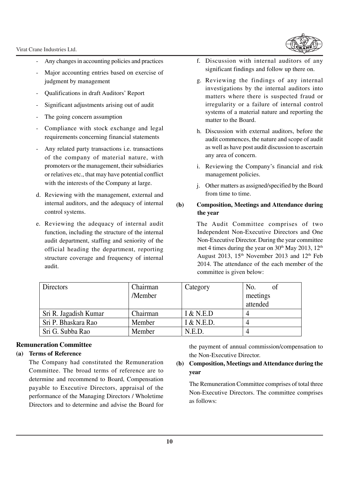

- Any changes in accounting policies and practices
- Major accounting entries based on exercise of judgment by management
- Qualifications in draft Auditors' Report
- Significant adjustments arising out of audit
- The going concern assumption
- Compliance with stock exchange and legal requirements concerning financial statements
- Any related party transactions i.e. transactions of the company of material nature, with promoters or the management, their subsidiaries or relatives etc., that may have potential conflict with the interests of the Company at large.
- d. Reviewing with the management, external and internal auditors, and the adequacy of internal control systems.
- e. Reviewing the adequacy of internal audit function, including the structure of the internal audit department, staffing and seniority of the official heading the department, reporting structure coverage and frequency of internal audit.
- f. Discussion with internal auditors of any significant findings and follow up there on.
- g. Reviewing the findings of any internal investigations by the internal auditors into matters where there is suspected fraud or irregularity or a failure of internal control systems of a material nature and reporting the matter to the Board.
- h. Discussion with external auditors, before the audit commences, the nature and scope of audit as well as have post audit discussion to ascertain any area of concern.
- i. Reviewing the Company's financial and risk management policies.
- j. Other matters as assigned/specified by the Board from time to time.

#### **(b) Composition, Meetings and Attendance during the year**

The Audit Committee comprises of two Independent Non-Executive Directors and One Non-Executive Director. During the year committee met 4 times during the year on  $30<sup>th</sup>$  May 2013, 12<sup>th</sup> August 2013,  $15<sup>th</sup>$  November 2013 and  $12<sup>th</sup>$  Feb 2014. The attendance of the each member of the committee is given below:

| <b>Directors</b>      | Chairman<br>/Member | Category   | N <sub>0</sub><br>0f<br>meetings<br>attended |
|-----------------------|---------------------|------------|----------------------------------------------|
| Sri R. Jagadish Kumar | Chairman            | I & N.E.D  |                                              |
| Sri P. Bhaskara Rao   | Member              | I & N.E.D. |                                              |
| Sri G. Subba Rao      | Member              | N.E.D.     |                                              |

#### **Remuneration Committee**

#### **(a) Terms of Reference**

The Company had constituted the Remuneration Committee. The broad terms of reference are to determine and recommend to Board, Compensation payable to Executive Directors, appraisal of the performance of the Managing Directors / Wholetime Directors and to determine and advise the Board for the payment of annual commission/compensation to the Non-Executive Director.

#### **(b) Composition, Meetings and Attendance during the year**

The Remuneration Committee comprises of total three Non-Executive Directors. The committee comprises as follows: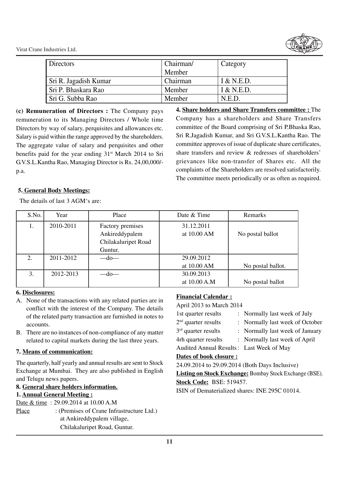

| Directors             | Chairman/ | Category   |
|-----------------------|-----------|------------|
|                       | Member    |            |
| Sri R. Jagadish Kumar | Chairman  | I & N.E.D. |
| Sri P. Bhaskara Rao   | Member    | I & N.E.D. |
| Sri G. Subba Rao      | Member    | N.E.D.     |

**(c) Remuneration of Directors :** The Company pays remuneration to its Managing Directors / Whole time Directors by way of salary, perquisites and allowances etc. Salary is paid within the range approved by the shareholders. The aggregate value of salary and perquisites and other benefits paid for the year ending 31<sup>st</sup> March 2014 to Sri G.V.S.L.Kantha Rao, Managing Director is Rs. 24,00,000/ p.a.

**4. Share holders and Share Transfers committee :** The Company has a shareholders and Share Transfers committee of the Board comprising of Sri P.Bhaska Rao, Sri R.Jagadish Kumar, and Sri G.V.S.L.Kantha Rao. The committee approves of issue of duplicate share certificates, share transfers and review & redresses of shareholders' grievances like non-transfer of Shares etc. All the complaints of the Shareholders are resolved satisfactorily. The committee meets periodically or as often as required.

#### **5. General Body Meetings:**

The details of last 3 AGM's are:

| S.No. | Year      | Place                                                                | Date & Time                | Remarks           |
|-------|-----------|----------------------------------------------------------------------|----------------------------|-------------------|
|       | 2010-2011 | Factory premises<br>Ankireddypalem<br>Chilakaluripet Road<br>Guntur. | 31.12.2011<br>at 10.00 AM  | No postal ballot  |
| 2.    | 2011-2012 | $-$ do                                                               | 29.09.2012<br>at 10.00 AM  | No postal ballot. |
| 3.    | 2012-2013 | —do—                                                                 | 30.09.2013<br>at 10.00 A.M | No postal ballot  |

#### **6. Disclosures:**

- A. None of the transactions with any related parties are in conflict with the interest of the Company. The details of the related party transaction are furnished in notes to accounts.
- B. There are no instances of non-compliance of any matter related to capital markets during the last three years.

#### **7. Means of communication:**

The quarterly, half yearly and annual results are sent to Stock Exchange at Mumbai. They are also published in English and Telugu news papers.

#### **8. General share holders information.**

#### **1. Annual General Meeting :**

Date & time : 29.09.2014 at 10.00 A.M

Place : (Premises of Crane Infrastructure Ltd.) at Ankireddypalem village, Chilakaluripet Road, Guntur.

#### **Financial Calendar :**

#### April 2013 to March 2014

| 1st quarter results                      | : Normally last week of July    |
|------------------------------------------|---------------------------------|
| $2nd$ quarter results                    | : Normally last week of October |
| $3rd$ quarter results                    | : Normally last week of January |
| 4rh quarter results                      | : Normally last week of April   |
| Audited Annual Results: Last Week of May |                                 |
|                                          |                                 |

#### **Dates of book closure :**

24.09.2014 to 29.09.2014 (Both Days Inclusive) **Listing on Stock Exchange:** Bombay Stock Exchange (BSE). **Stock Code:** BSE: 519457.

ISIN of Dematerialized shares: INE 295C 01014.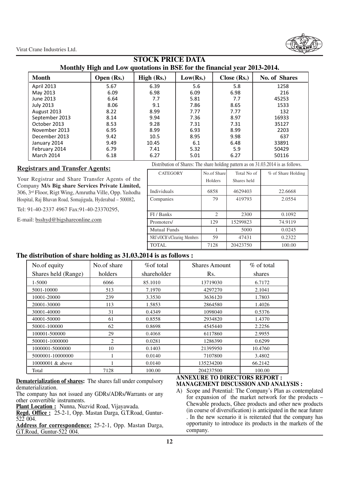

|                  |                                                                          | <b>STOCK PRICE DATA</b> |          |             |               |
|------------------|--------------------------------------------------------------------------|-------------------------|----------|-------------|---------------|
|                  | Monthly High and Low quotations in BSE for the financial year 2013-2014. |                         |          |             |               |
| <b>Month</b>     | Open (Rs.)                                                               | High (Rs.)              | Low(Rs.) | Close (Rs.) | No. of Shares |
| April 2013       | 5.67                                                                     | 6.39                    | 5.6      | 5.8         | 1258          |
| May 2013         | 6.09                                                                     | 6.98                    | 6.09     | 6.98        | 216           |
| June 2013        | 6.64                                                                     | 7.7                     | 5.81     | 7.7         | 45253         |
| <b>July 2013</b> | 8.06                                                                     | 9.1                     | 7.86     | 8.65        | 1533          |
| August 2013      | 8.22                                                                     | 8.99                    | 7.77     | 7.77        | 132           |
| September 2013   | 8.14                                                                     | 9.94                    | 7.36     | 8.97        | 16933         |
| October 2013     | 8.53                                                                     | 9.28                    | 7.31     | 7.31        | 35127         |
| November 2013    | 6.95                                                                     | 8.99                    | 6.93     | 8.99        | 2203          |
| December 2013    | 9.42                                                                     | 10.5                    | 8.95     | 9.98        | 637           |
| January 2014     | 9.49                                                                     | 10.45                   | 6.1      | 6.48        | 33891         |
| February 2014    | 6.79                                                                     | 7.41                    | 5.32     | 5.9         | 50429         |
| March 2014       | 6.18                                                                     | 6.27                    | 5.01     | 6.27        | 50116         |

#### **Registrars and Transfer Agents:**

Distribution of Shares: The share holding pattern as on 31.03.2014 is as follows.

| Your Registrar and Share Transfer Agents of the                     |
|---------------------------------------------------------------------|
| Company M/s Big share Services Private Limited,                     |
| 306, 3 <sup>rd</sup> Floor, Rigt Wing, Amrutha Ville, Opp. Yashodha |
| Hospital, Raj Bhavan Road, Somajiguda, Hyderabad - 500082.          |

Tel: 91-40-2337 4967 Fax:91-40-23370295,

E-mail: bsshyd@bigshareonline.com

| DISHIDURUH OI DHUICS. THE SHUIC HORUHT FOURTH US ON $J1.0J.2017$ is us follows. |             |             |                    |
|---------------------------------------------------------------------------------|-------------|-------------|--------------------|
| <b>CATEGORY</b>                                                                 | No.of Share | Total No of | % of Share Holding |
|                                                                                 | Holders     | Shares held |                    |
| Individuals                                                                     | 6858        | 4629403     | 22.6668            |
| Companies                                                                       | 79          | 419793      | 2.0554             |
|                                                                                 |             |             |                    |
| FI / Banks                                                                      | 2           | 2300        | 0.1092             |
| Promoters/                                                                      | 129         | 15299823    | 74.9119            |
| Mutual Funds                                                                    |             | 5000        | 0.0245             |
| NRI's/OCB's/Clearing Members                                                    | 59          | 47431       | 0.2322             |
| TOTAL.                                                                          | 7128        | 20423750    | 100.00             |
|                                                                                 |             |             |                    |

#### **The distribution of share holding as 31.03.2014 is as follows :**

| No.of equity        | No.of share    | % % total   | <b>Shares Amount</b> | $%$ of total |
|---------------------|----------------|-------------|----------------------|--------------|
| Shares held (Range) | holders        | shareholder | Rs.                  | shares       |
| 1-5000              | 6066           | 85.1010     | 13719030             | 6.7172       |
| 5001-10000          | 513            | 7.1970      | 4297270              | 2.1041       |
| 10001-20000         | 239            | 3.3530      | 3636120              | 1.7803       |
| 20001-30000         | 113            | 1.5853      | 2864580              | 1.4026       |
| 30001-40000         | 31             | 0.4349      | 1098040              | 0.5376       |
| 40001-50000         | 61             | 0.8558      | 2934820              | 1.4370       |
| 50001-100000        | 62             | 0.8698      | 4545440              | 2.2256       |
| 100001-500000       | 29             | 0.4068      | 6117860              | 2.9955       |
| 500001-1000000      | $\overline{c}$ | 0.0281      | 1286390              | 0.6299       |
| 1000001-5000000     | 10             | 0.1403      | 21395950             | 10.4760      |
| 5000001-10000000    |                | 0.0140      | 7107800              | 3.4802       |
| 10000001 & above    |                | 0.0140      | 135234200            | 66.2142      |
| Total               | 7128           | 100.00      | 204237500            | 100.00       |

#### **Dematerialization of shares:** The shares fall under compulsory dematerialization.

The company has not issued any GDRs/ADRs/Warrants or any other convertible instruments.

**Plant Location :** Nunna, Nuzvid Road, Vijayawada.

**Regd. Office :** 25-2-1, Opp. Mastan Darga, G.T.Road, Guntur-522 004.

**Address for correspondence:** 25-2-1, Opp. Mastan Darga, G.T.Road, Guntur-522 004.

#### **ANNEXURE TO DIRECTORS REPORT : MANAGEMENT DISCUSSION AND ANALYSIS :**

A) Scope and Potential: The Company's Plan as contemplated for expansion of the market network for the products – Chewable products, Ghee products and other new products (in course of diversification) is anticipated in the near future . In the new scenario it is reiterated that the company has opportunity to introduce its products in the markets of the company.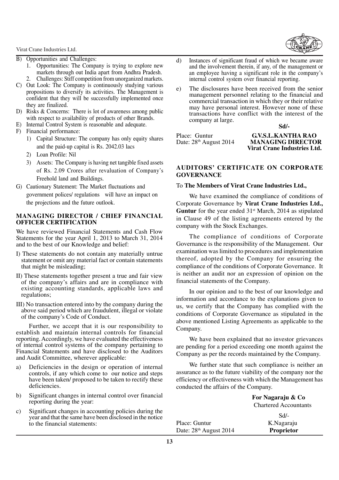- B) Opportunities and Challenges:
	- 1. Opportunities: The Company is trying to explore new markets through out India apart from Andhra Pradesh. 2. Challenges: Stiff competition from unorganized markets.
- C) Out Look: The Company is continuously studying various propositions to diversify its activities. The Management is confident that they will be successfully implemented once they are finalized.
- D) Risks & Concerns: There is lot of awareness among public with respect to availability of products of other Brands.
- E) Internal Control System is reasonable and adequate.
- F) Financial performance:
	- 1) Capital Structure: The company has only equity shares and the paid-up capital is Rs. 2042.03 lacs
	- 2) Loan Profile: Nil
	- 3) Assets: The Company is having net tangible fixed assets of Rs. 2.09 Crores after revaluation of Company's Freehold land and Buildings.
- G) Cautionary Statement: The Market fluctuations and government polices/ regulations will have an impact on the projections and the future outlook.

#### **MANAGING DIRECTOR / CHIEF FINANCIAL OFFICER CERTIFICATION**

We have reviewed Financial Statements and Cash Flow Statements for the year April 1, 2013 to March 31, 2014 and to the best of our Knowledge and belief:

- I) These statements do not contain any materially untrue statement or omit any material fact or contain statements that might be misleading;
- II) These statements together present a true and fair view of the company's affairs and are in compliance with existing accounting standards, applicable laws and regulations;
- III) No transaction entered into by the company during the above said period which are fraudulent, illegal or violate of the company's Code of Conduct.

Further, we accept that it is our responsibility to establish and maintain internal controls for financial reporting. Accordingly, we have evaluated the effectiveness of internal control systems of the company pertaining to Financial Statements and have disclosed to the Auditors and Audit Committee, wherever applicable:

- a) Deficiencies in the design or operation of internal controls, if any which come to our notice and steps have been taken/ proposed to be taken to rectify these deficiencies.
- b) Significant changes in internal control over financial reporting during the year:
- c) Significant changes in accounting policies during the year and that the same have been disclosed in the notice to the financial statements:
- d) Instances of significant fraud of which we became aware and the involvement therein, if any, of the management or an employee having a significant role in the company's internal control system over financial reporting.
- e) The disclosures have been received from the senior management personnel relating to the financial and commercial transaction in which they or their relative may have personal interest. However none of these transactions have conflict with the interest of the company at large.

**Sd/-**

Place: Guntur<br>Date: 28<sup>th</sup> August 2014 MANAGING DIRECTO **MANAGING DIRECTOR Virat Crane Industries Ltd.**

#### **AUDITORS' CERTIFICATE ON CORPORATE GOVERNANCE**

#### To **The Members of Virat Crane Industries Ltd.,**

We have examined the compliance of conditions of Corporate Governance by **Virat Crane Industries Ltd.,** Guntur for the year ended 31<sup>st</sup> March, 2014 as stipulated in Clause 49 of the listing agreements entered by the company with the Stock Exchanges.

The compliance of conditions of Corporate Governance is the responsibility of the Management. Our examination was limited to procedures and implementation thereof, adopted by the Company for ensuring the compliance of the conditions of Corporate Governance. It is neither an audit nor an expression of opinion on the financial statements of the Company.

In our opinion and to the best of our knowledge and information and accordance to the explanations given to us, we certify that the Company has complied with the conditions of Corporate Governance as stipulated in the above mentioned Listing Agreements as applicable to the Company.

We have been explained that no investor grievances are pending for a period exceeding one month against the Company as per the records maintained by the Company.

We further state that such compliance is neither an assurance as to the future viability of the company nor the efficiency or effectiveness with which the Management has conducted the affairs of the Company.

 **For Nagaraju & Co** Chartered Accountants Sd/- Place: Guntur **K.Nagaraju** Date: 28<sup>th</sup> August 2014 **Proprietor** 



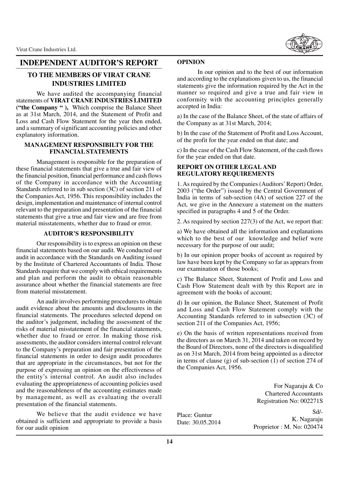

#### **INDEPENDENT AUDITOR'S REPORT**

#### **TO THE MEMBERS OF VIRAT CRANE INDUSTRIES LIMITED**

We have audited the accompanying financial statements of **VIRAT CRANE INDUSTRIES LIMITED** ("the Company "), Which comprise the Balance Sheet as at 31st March, 2014, and the Statement of Profit and Loss and Cash Flow Statement for the year then ended, and a summary of significant accounting policies and other explanatory information.

#### **MANAGEMENT RESPONSIBILTY FOR THE FINANCIAL STATEMENTS**

Management is responsible for the preparation of these financial statements that give a true and fair view of the financial position, financial performance and cash flows of the Company in accordance with the Accounting Standards referred to in sub section (3C) of section 211 of the Companies Act, 1956. This responsibility includes the design, implementation and maintenance of internal control relevant to the preparation and presentation of the financial statements that give a true and fair view and are free from material misstatements, whether due to fraud or error.

#### **AUDITOR'S RESPONSIBILITY**

Our responsibility is to express an opinion on these financial statements based on our audit. We conducted our audit in accordance with the Standards on Auditing issued by the Institute of Chartered Accountants of India. Those Standards require that we comply with ethical requirements and plan and perform the audit to obtain reasonable assurance about whether the financial statements are free from material misstatement.

An audit involves performing procedures to obtain audit evidence about the amounts and disclosures in the financial statements. The procedures selected depend on the auditor's judgement, including the assessment of the risks of material misstatement of the financial statements, whether due to fraud or error. In making those risk assessments, the auditor considers internal control relevant to the Company's preparation and fair presentation of the financial statements in order to design audit procedures that are appropriate in the circumstances, but not for the purpose of expressing an opinion on the effectiveness of the entity's internal control. An audit also includes evaluating the appropriateness of accounting policies used and the reasonableness of the accounting estimates made by management, as well as evaluating the overall presentation of the financial statements.

We believe that the audit evidence we have obtained is sufficient and appropriate to provide a basis for our audit opinion

#### **OPINION**

In our opinion and to the best of our information and according to the explanations given to us, the financial statements give the information required by the Act in the manner so required and give a true and fair view in conformity with the accounting principles generally accepted in India:

a) In the case of the Balance Sheet, of the state of affairs of the Company as at 31st March, 2014;

b) In the case of the Statement of Profit and Loss Account, of the profit for the year ended on that date; and

c) In the case of the Cash Flow Statement, of the cash flows for the year ended on that date.

#### **REPORT ON OTHER LEGAL AND REGULATORY REQUIREMENTS**

1. As required by the Companies (Auditors' Report) Order, 2003 ("the Order") issued by the Central Government of India in terms of sub-section (4A) of section 227 of the Act, we give in the Annexure a statement on the matters specified in paragraphs 4 and 5 of the Order.

2. As required by section 227(3) of the Act, we report that:

a) We have obtained all the information and explanations which to the best of our knowledge and belief were necessary for the purpose of our audit;

b) In our opinion proper books of account as required by law have been kept by the Company so far as appears from our examination of those books;

c) The Balance Sheet, Statement of Profit and Loss and Cash Flow Statement dealt with by this Report are in agreement with the books of account;

d) In our opinion, the Balance Sheet, Statement of Profit and Loss and Cash Flow Statement comply with the Accounting Standards referred to in subsection (3C) of section 211 of the Companies Act, 1956;

e) On the basis of written representations received from the directors as on March 31, 2014 and taken on record by the Board of Directors, none of the directors is disqualified as on 31st March, 2014 from being appointed as a director in terms of clause (g) of sub-section  $(1)$  of section 274 of the Companies Act, 1956.

> For Nagaraju & Co Chartered Accountants Registration No: 002271S

Place: Guntur Date: 30.05.2014

Sd/- K. Nagaraju Proprietor : M. No: 020474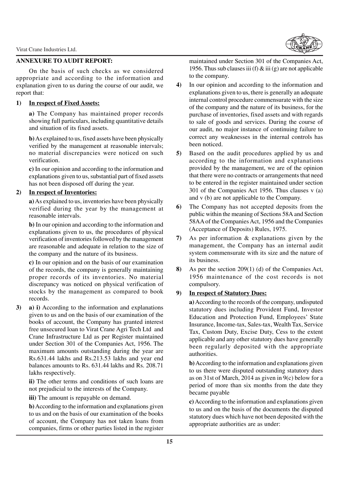#### **ANNEXURE TO AUDIT REPORT:**

On the basis of such checks as we considered appropriate and according to the information and explanation given to us during the course of our audit, we report that:

#### **1) In respect of Fixed Assets:**

**a)** The Company has maintained proper records showing full particulars, including quantitative details and situation of its fixed assets.

**b)** As explained to us, fixed assets have been physically verified by the management at reasonable intervals; no material discrepancies were noticed on such verification.

**c)** In our opinion and according to the information and explanations given to us, substantial part of fixed assets has not been disposed off during the year.

#### **2) In respect of Inventories:**

**a)** As explained to us, inventories have been physically verified during the year by the management at reasonable intervals.

**b)** In our opinion and according to the information and explanations given to us, the procedures of physical verification of inventories followed by the management are reasonable and adequate in relation to the size of the company and the nature of its business.

**c)** In our opinion and on the basis of our examination of the records, the company is generally maintaining proper records of its inventories. No material discrepancy was noticed on physical verification of stocks by the management as compared to book records.

**3) a) i)** According to the information and explanations given to us and on the basis of our examination of the books of account, the Company has granted interest free unsecured loan to Virat Crane Agri Tech Ltd and Crane Infrastructure Ltd as per Register maintained under Section 301 of the Companies Act, 1956. The maximum amounts outstanding during the year are Rs.631.44 lakhs and Rs.213.53 lakhs and year end balances amounts to Rs. 631.44 lakhs and Rs. 208.71 lakhs respectively.

**ii)** The other terms and conditions of such loans are not prejudicial to the interests of the Company.

**iii)** The amount is repayable on demand.

**b)** According to the information and explanations given to us and on the basis of our examination of the books of account, the Company has not taken loans from companies, firms or other parties listed in the register

maintained under Section 301 of the Companies Act, 1956. Thus sub clauses iii (f)  $\&$  iii (g) are not applicable to the company.

- **4)** In our opinion and according to the information and explanations given to us, there is generally an adequate internal control procedure commensurate with the size of the company and the nature of its business, for the purchase of inventories, fixed assets and with regards to sale of goods and services. During the course of our audit, no major instance of continuing failure to correct any weaknesses in the internal controls has been noticed.
- **5)** Based on the audit procedures applied by us and according to the information and explanations provided by the management, we are of the opinion that there were no contracts or arrangements that need to be entered in the register maintained under section 301 of the Companies Act 1956. Thus clauses v (a) and v (b) are not applicable to the Company.
- **6)** The Company has not accepted deposits from the public within the meaning of Sections 58A and Section 58AA of the Companies Act, 1956 and the Companies (Acceptance of Deposits) Rules, 1975.
- **7)** As per information & explanations given by the management, the Company has an internal audit system commensurate with its size and the nature of its business.
- **8)** As per the section 209(1) (d) of the Companies Act, 1956 maintenance of the cost records is not compulsory.

#### **9) In respect of Statutory Dues:**

**a)** According to the records of the company, undisputed statutory dues including Provident Fund, Investor Education and Protection Fund, Employees' State Insurance, Income-tax, Sales-tax, Wealth Tax, Service Tax, Custom Duty, Excise Duty, Cess to the extent applicable and any other statutory dues have generally been regularly deposited with the appropriate authorities.

**b)** According to the information and explanations given to us there were disputed outstanding statutory dues as on 31st of March, 2014 as given in 9(c) below for a period of more than six months from the date they became payable

**c)** According to the information and explanations given to us and on the basis of the documents the disputed statutory dues which have not been deposited with the appropriate authorities are as under:

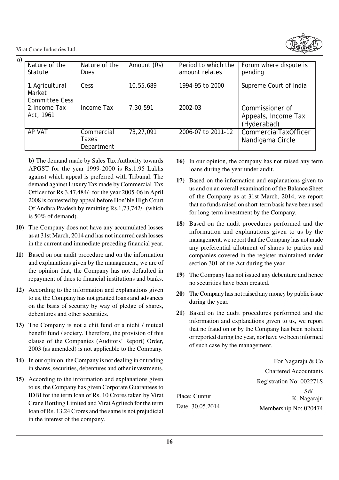| a) |                       |               |             |                     |                        |
|----|-----------------------|---------------|-------------|---------------------|------------------------|
|    | Nature of the         | Nature of the | Amount (Rs) | Period to which the | Forum where dispute is |
|    | Statute               | <b>Dues</b>   |             | amount relates      | pending                |
|    | 1. Agricultural       | Cess          | 10,55,689   | 1994-95 to 2000     | Supreme Court of India |
|    | Market                |               |             |                     |                        |
|    | <b>Committee Cess</b> |               |             |                     |                        |
|    | 2. Income Tax         | Income Tax    | 7,30,591    | 2002-03             | Commissioner of        |
|    | Act, 1961             |               |             |                     | Appeals, Income Tax    |
|    |                       |               |             |                     | (Hyderabad)            |
|    | AP VAT                | Commercial    | 73,27,091   | 2006-07 to 2011-12  | CommercialTaxOfficer   |
|    |                       | Taxes         |             |                     | Nandigama Circle       |
|    |                       | Department    |             |                     |                        |

**b)** The demand made by Sales Tax Authority towards APGST for the year 1999-2000 is Rs.1.95 Lakhs against which appeal is preferred with Tribunal. The demand against Luxury Tax made by Commercial Tax Officer for Rs.3,47,484/- for the year 2005-06 in April 2008 is contested by appeal before Hon'ble High Court Of Andhra Pradesh by remitting Rs.1,73,742/- (which is 50% of demand).

- **10)** The Company does not have any accumulated losses as at 31st March, 2014 and has not incurred cash losses in the current and immediate preceding financial year.
- **11)** Based on our audit procedure and on the information and explanations given by the management, we are of the opinion that, the Company has not defaulted in repayment of dues to financial institutions and banks.
- **12)** According to the information and explanations given to us, the Company has not granted loans and advances on the basis of security by way of pledge of shares, debentures and other securities.
- **13)** The Company is not a chit fund or a nidhi / mutual benefit fund / society. Therefore, the provision of this clause of the Companies (Auditors' Report) Order, 2003 (as amended) is not applicable to the Company.
- **14)** In our opinion, the Company is not dealing in or trading in shares, securities, debentures and other investments.
- **15)** According to the information and explanations given to us, the Company has given Corporate Guarantees to IDBI for the term loan of Rs. 10 Crores taken by Virat Crane Bottling Limited and Virat Agritech for the term loan of Rs. 13.24 Crores and the same is not prejudicial in the interest of the company.
- **16)** In our opinion, the company has not raised any term loans during the year under audit.
- **17)** Based on the information and explanations given to us and on an overall examination of the Balance Sheet of the Company as at 31st March, 2014, we report that no funds raised on short-term basis have been used for long-term investment by the Company.
- **18)** Based on the audit procedures performed and the information and explanations given to us by the management, we report that the Company has not made any preferential allotment of shares to parties and companies covered in the register maintained under section 301 of the Act during the year.
- **19)** The Company has not issued any debenture and hence no securities have been created.
- **20)** The Company has not raised any money by public issue during the year.
- **21)** Based on the audit procedures performed and the information and explanations given to us, we report that no fraud on or by the Company has been noticed or reported during the year, nor have we been informed of such case by the management.

For Nagaraju & Co Chartered Accountants Registration No: 002271S Sd/- K. Nagaraju Membership No: 020474

**16**

Place: Guntur Date: 30.05.2014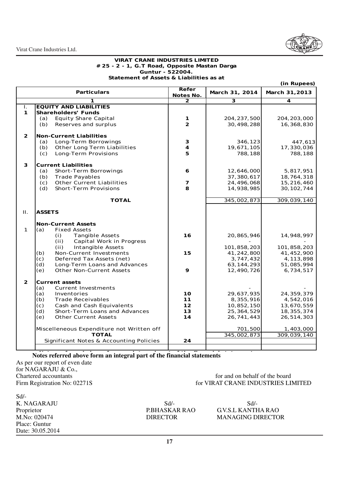#### **VIRAT CRANE INDUSTRIES LIMITED # 25 - 2 - 1, G.T Road, Opposite Mastan Darga Guntur - 522004. Statement of Assets & Liabilities as at**

|                         |                                                                                                                                                                                                                                                         |                                   |                                                                     | (in Rupees)                                                       |
|-------------------------|---------------------------------------------------------------------------------------------------------------------------------------------------------------------------------------------------------------------------------------------------------|-----------------------------------|---------------------------------------------------------------------|-------------------------------------------------------------------|
|                         | <b>Particulars</b>                                                                                                                                                                                                                                      | Refer<br>Notes No.                | March 31, 2014                                                      | March 31,2013                                                     |
|                         | $\mathbf{1}$                                                                                                                                                                                                                                            | 2                                 | 3                                                                   | 4                                                                 |
| Τ.<br>$\mathbf{1}$      | <b>EQUITY AND LIABILITIES</b><br>Shareholders' Funds<br>(a)<br><b>Equity Share Capital</b><br>(b)<br>Reserves and surplus                                                                                                                               | $\mathbf{1}$<br>$\overline{2}$    | 204, 237, 500<br>30,498,288                                         | 204, 203, 000<br>16,368,830                                       |
| $\overline{2}$          | <b>Non-Current Liabilities</b><br>(a)<br>Long-Term Borrowings<br>Other Long Term Liabilities<br>(b)<br>Long-Term Provisions<br>(c)                                                                                                                      | 3<br>$\overline{\mathbf{4}}$<br>5 | 346,123<br>19,671,105<br>788,188                                    | 447,613<br>17,330,036<br>788,188                                  |
| 3                       | <b>Current Liabilities</b><br>Short-Term Borrowings<br>(a)<br>(b)<br><b>Trade Payables</b><br><b>Other Current Liabilities</b><br>(c)<br>(d)<br><b>Short-Term Provisions</b>                                                                            | 6<br>$\overline{\mathbf{z}}$<br>8 | 12,646,000<br>37,380,617<br>24,496,068<br>14,938,985                | 5,817,951<br>18,764,318<br>15,216,460<br>30, 102, 744             |
|                         | <b>TOTAL</b>                                                                                                                                                                                                                                            |                                   | 345,002,873                                                         | 309,039,140                                                       |
| $\Pi$ .<br>$\mathbf{1}$ | <b>ASSETS</b><br><b>Non-Current Assets</b><br>(a)<br><b>Fixed Assets</b><br>(i)<br><b>Tangible Assets</b><br>(ii)<br>Capital Work in Progress<br>(ii)<br><b>Intangible Assets</b><br>(b)<br>Non-Current Investments<br>(c)<br>Deferred Tax Assets (net) | 16<br>15                          | 20,865,946<br>101,858,203<br>41,242,800<br>3,747,432                | 14,948,997<br>101,858,203<br>41,452,900<br>4, 113, 898            |
|                         | (d)<br>Long-Term Loans and Advances<br>(e)<br><b>Other Non-Current Assets</b>                                                                                                                                                                           | 9                                 | 63, 144, 293<br>12,490,726                                          | 51,085,994<br>6,734,517                                           |
| $\overline{2}$          | <b>Current assets</b><br>(a)<br><b>Current Investments</b><br>(a)<br>Inventories<br><b>Trade Receivables</b><br>(b)<br>(c)<br>Cash and Cash Equivalents<br>Short-Term Loans and Advances<br>(d)<br>(e)<br><b>Other Current Assets</b>                   | 10<br>$11$<br>12<br>13<br>14      | 29,637,935<br>8,355,916<br>10,852,150<br>25, 364, 529<br>26,741,443 | 24,359,379<br>4,542,016<br>13,670,559<br>18,355,374<br>26,514,303 |
|                         | Miscelleneous Expenditure not Written off<br><b>TOTAL</b>                                                                                                                                                                                               |                                   | 701,500<br>345,002,873                                              | 1,403,000<br>309,039,140                                          |
|                         | Significant Notes & Accounting Policies                                                                                                                                                                                                                 | 24                                |                                                                     |                                                                   |

**Notes referred above form an integral part of the financial statements** 

As per our report of even date for NAGARAJU & Co., Chartered accountants for and on behalf of the board Firm Registration No: 02271S for VIRAT CRANE INDUSTRIES LIMITED

Sd/- Place: Guntur Date: 30.05.2014

K. NAGARAJU Sd/- Sd/-

Proprietor P.BHASKAR RAO G.V.S.L KANTHA RAO M.No: 020474 P.BHASKAR RAO MANAGING DIRECTO DIRECTOR MANAGING DIRECTOR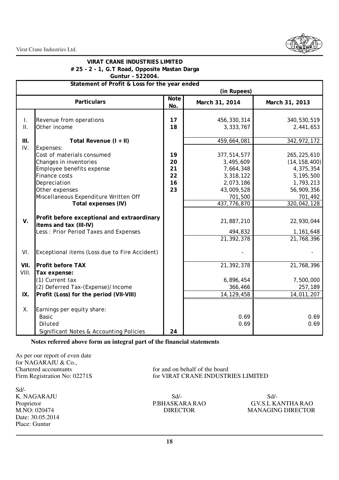

#### **VIRAT CRANE INDUSTRIES LIMITED # 25 - 2 - 1, G.T Road, Opposite Mastan Darga Guntur - 522004.**

|             | Guntur - 322004.                              |                    |                          |                          |
|-------------|-----------------------------------------------|--------------------|--------------------------|--------------------------|
|             | Statement of Profit & Loss for the year ended |                    | (in Rupees)              |                          |
|             | <b>Particulars</b>                            | <b>Note</b><br>No. | March 31, 2014           | March 31, 2013           |
|             |                                               | 17                 |                          |                          |
| Τ.<br>Π.    | Revenue from operations<br>Other income       | 18                 | 456,330,314<br>3,333,767 | 340,530,519<br>2,441,653 |
|             |                                               |                    |                          |                          |
| III.        | Total Revenue (I + II)                        |                    | 459,664,081              | 342,972,172              |
| IV.         | Expenses:                                     |                    |                          |                          |
|             | Cost of materials consumed                    | 19                 | 377,514,577              | 265,225,610              |
|             | Changes in inventories                        | 20                 | 3,495,609                | (14, 158, 400)           |
|             | Employee benefits expense                     | 21                 | 7,664,348                | 4,375,354                |
|             | Finance costs                                 | 22                 | 3,318,122                | 5,195,500                |
|             | Depreciation                                  | 16                 | 2,073,186                | 1,793,213                |
|             | Other expenses                                | 23                 | 43,009,528               | 56,909,356               |
|             | Miscellaneous Expenditure Written Off         |                    | 701,500                  | 701,492                  |
|             | Total expenses (IV)                           |                    | 437,776,870              | 320,042,128              |
|             |                                               |                    |                          |                          |
| $V_{\cdot}$ | Profit before exceptional and extraordinary   |                    | 21,887,210               | 22,930,044               |
|             | items and tax (III-IV)                        |                    |                          |                          |
|             | Less: Prior Period Taxes and Expenses         |                    | 494,832                  | 1,161,648                |
|             |                                               |                    | 21,392,378               | 21,768,396               |
| VI.         | Exceptional items (Loss due to Fire Accident) |                    |                          |                          |
|             |                                               |                    |                          |                          |
| VII.        | <b>Profit before TAX</b>                      |                    | 21,392,378               | 21,768,396               |
| VIII.       | Tax expense:                                  |                    |                          |                          |
|             | (1) Current tax                               |                    | 6,896,454                | 7,500,000                |
|             | (2) Deferred Tax-(Expense)/Income             |                    | 366,466                  | 257,189                  |
| IX.         | Profit (Loss) for the period (VII-VIII)       |                    | 14,129,458               | 14,011,207               |
|             |                                               |                    |                          |                          |
| Χ.          | Earnings per equity share:                    |                    |                          |                          |
|             | <b>Basic</b>                                  |                    | 0.69                     | 0.69                     |
|             | <b>Diluted</b>                                |                    | 0.69                     | 0.69                     |
|             | Significant Notes & Accounting Policies       | 24                 |                          |                          |

**Notes referred above form an integral part of the financial statements**

As per our report of even date for NAGARAJU & Co., Chartered accountants for and on behalf of the board

Sd/- K. NAGARAJU Sd/- Sd/- Date: 30.05.2014 Place: Guntur

Firm Registration No: 02271S for VIRAT CRANE INDUSTRIES LIMITED

Proprietor P.BHASKARA RAO G.V.S.L KANTHA RAO M.NO: 020474 P.BHASKARA RAO DIRECTOR MANAGING DIRECTOR M.NO: 020474 DIRECTOR MANAGING DIRECTOR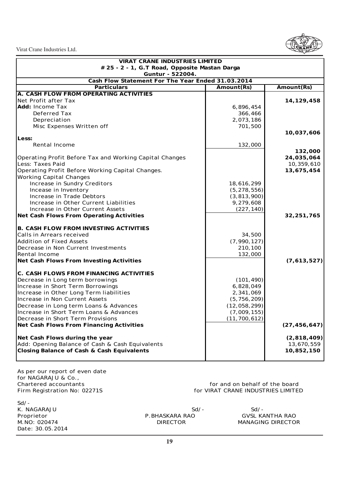

| <b>VIRAT CRANE INDUSTRIES LIMITED</b>                   |                |                |
|---------------------------------------------------------|----------------|----------------|
| # 25 - 2 - 1, G.T Road, Opposite Mastan Darga           |                |                |
| Guntur - 522004.                                        |                |                |
| Cash Flow Statement For The Year Ended 31.03.2014       |                |                |
| <b>Particulars</b>                                      | Amount(Rs)     | Amount(Rs)     |
| A. CASH FLOW FROM OPERATING ACTIVITIES                  |                |                |
| Net Profit after Tax                                    |                | 14,129,458     |
| Add: Income Tax                                         | 6,896,454      |                |
| Deferred Tax                                            | 366,466        |                |
| Depreciation                                            | 2,073,186      |                |
| Misc Expenses Written off                               | 701,500        |                |
|                                                         |                | 10,037,606     |
| Less:<br>Rental Income                                  | 132,000        |                |
|                                                         |                | 132,000        |
| Operating Profit Before Tax and Working Capital Changes |                | 24,035,064     |
| Less: Taxes Paid                                        |                | 10,359,610     |
| Operating Profit Before Working Capital Changes.        |                | 13,675,454     |
| <b>Working Capital Changes</b>                          |                |                |
| Increase in Sundry Creditors                            | 18,616,299     |                |
| Incease in Inventory                                    | (5, 278, 556)  |                |
| Increase in Trade Debtors                               | (3, 813, 900)  |                |
| Increase in Other Current Liabilities                   | 9,279,608      |                |
| Increase in Other Current Assets                        | (227, 140)     |                |
| Net Cash Flows From Operating Activities                |                | 32,251,765     |
|                                                         |                |                |
| <b>B. CASH FLOW FROM INVESTING ACTIVITIES</b>           |                |                |
| Calls in Arrears received                               | 34,500         |                |
| <b>Addition of Fixed Assets</b>                         | (7,990,127)    |                |
| Decrease in Non Current Investments                     | 210,100        |                |
| Rental Income                                           | 132,000        |                |
| Net Cash Flows From Investing Activities                |                | (7,613,527)    |
|                                                         |                |                |
| <b>C. CASH FLOWS FROM FINANCING ACTIVITIES</b>          |                |                |
| Decrease in Long term borrowings                        | (101, 490)     |                |
| Increase in Short Term Borrowings                       | 6,828,049      |                |
| Increase in Other Long Term liabilities                 | 2,341,069      |                |
| Increase in Non Current Assets                          | (5, 756, 209)  |                |
| Decrease in Long term Loans & Advances                  | (12,058,299)   |                |
| Increase in Short Term Loans & Advances                 | (7,009,155)    |                |
| Decrease in Short Term Provisions                       | (11, 700, 612) |                |
| Net Cash Flows From Financing Activities                |                | (27, 456, 647) |
| Net Cash Flows during the year                          |                | (2,818,409)    |
| Add: Opening Balance of Cash & Cash Equivalents         |                | 13,670,559     |
| <b>Closing Balance of Cash &amp; Cash Equivalents</b>   |                | 10,852,150     |
|                                                         |                |                |
|                                                         |                |                |
| As per our report of even date                          |                |                |
| for MACADA HIO CA                                       |                |                |

for NAGARAJU & Co.,<br>Chartered accountants

Sd/- Date: 30.05.2014

Chartered accountants<br>
Firm Registration No: 02271S<br>
Firm Registration No: 02271S<br>
For VIRAT CRANE INDUSTRIES LIMITED for VIRAT CRANE INDUSTRIES LIMITED

K. NAGARAJU Sd/- Sd/- Proprietor Proprietor P.BHASKARA RAO<br>M.NO: 020474 DIRECTOR

MANAGING DIRECTOR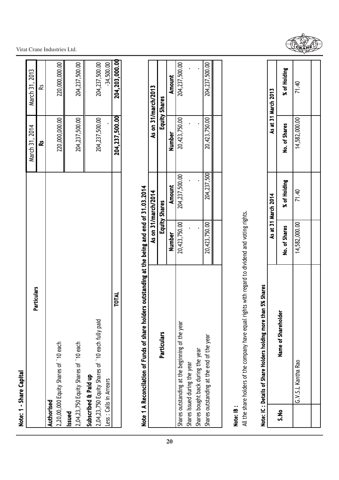Note: 1 - Share Capital **Note: 1 - Share Capital**

| <b>Particulars</b>                               | March 31, 2014 | March 31, 2013 |
|--------------------------------------------------|----------------|----------------|
|                                                  | ž              | Rs             |
| Authorised                                       |                |                |
| 2,20,00,000 Equity Shares of 10 each             | 220,000,000.00 | 220,000,000.00 |
| Issued                                           |                |                |
| $2,04,23,750$ Equity Shares of $\degree$ 10 each | 204,237,500.00 | 204,237,500.00 |
| Subscribed & Paid up                             |                |                |
| 2,04,23,750 Equity Shares of `10 each fully paid | 204,237,500.00 | 204,237,500.00 |
| Less : Calls in Arrears                          |                | $-34,500.00$   |
| <b>TOTAL</b>                                     | 204,237,500.00 | 204,203,000.00 |

Virat Crane Industries Ltd.

# Note 1 A Reconcilation of Funds of share holders outstanding at the being and end of 31.03.2014 **Note 1 A Reconcilation of Funds of share holders outstanding at the being and end of 31.03.2014**

|                                                 | As on 31/march/2014 |                |               | As on 31/march/2013 |
|-------------------------------------------------|---------------------|----------------|---------------|---------------------|
| Particulars                                     | Equity Shares       |                | Equity Shares |                     |
|                                                 | Number              | <b>Amount</b>  | <b>Number</b> | <b>Amount</b>       |
| Shares outstanding at the beginning of the year | 20,423,750.00       | 204,237,500.00 | 20,423,750.00 | 204,237,500.00      |
| Shares Issued during the year                   |                     |                |               |                     |
| Shares bought back during the year              |                     |                |               |                     |
| Shares outstanding at the end of the year       | 20,423,750.00       | 204,237,500    | 20,423,750.00 | 204,237,500.00      |
|                                                 |                     |                |               |                     |

#### Note: IB : **Note: IB :**

All the share holders of the company have equal rights with regard to dividend and voting rights. All the share holders of the company have equal rights with regard to dividend and voting rights.

## **Note: IC : Details of Share Holders holding more than 5% Shares** AL. EW CL. i<br>Little Lab  $\overline{\phantom{a}}$ پرام کا مت Nata: IC : Dataile of Ch

|           |                     |               | As at 31 March 2014 |               | As at 31 March 2013 |
|-----------|---------------------|---------------|---------------------|---------------|---------------------|
| ្ត្រ<br>> | Name of Shareholder | No. of Shares | % of Holding        | No. of Shares | % of Holding        |
|           | IG.V.S.L Kantha Rao | 14,582,000.00 | 71.40               | 14,582,000.00 | 71.40               |
|           |                     |               |                     |               |                     |

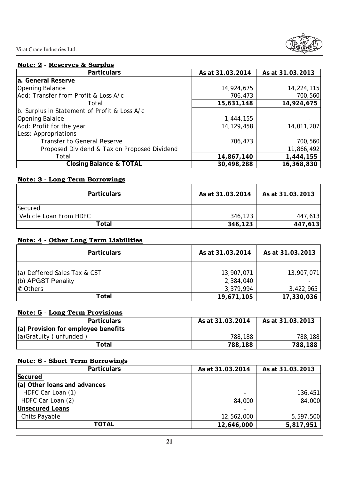

#### **Note: 2 - Reserves & Surplus**

| <b>Particulars</b>                           | As at 31.03.2014 | As at 31.03.2013 |
|----------------------------------------------|------------------|------------------|
| a. General Reserve                           |                  |                  |
| <b>Opening Balance</b>                       | 14,924,675       | 14,224,115       |
| Add: Transfer from Profit & Loss A/c         | 706,473          | 700,560          |
| Total                                        | 15,631,148       | 14,924,675       |
| b. Surplus in Statement of Profit & Loss A/c |                  |                  |
| <b>Opening Balalce</b>                       | 1,444,155        |                  |
| Add: Profit for the year                     | 14, 129, 458     | 14,011,207       |
| Less: Appropriations                         |                  |                  |
| <b>Transfer to General Reserve</b>           | 706,473          | 700,560          |
| Proposed Dividend & Tax on Proposed Dividend |                  | 11,866,492       |
| Total                                        | 14,867,140       | 1,444,155        |
| <b>Closing Balance &amp; TOTAL</b>           | 30,498,288       | 16,368,830       |

#### **Note: 3 - Long Term Borrowings**

| <b>Particulars</b>     | As at 31.03.2014 | As at 31.03.2013 |
|------------------------|------------------|------------------|
| Secured                |                  |                  |
| Vehicle Loan From HDFC | 346,123          | 447,613          |
| Total                  | 346,123          | 447,613          |

#### **Note: 4 - Other Long Term Liabilities**

| <b>Particulars</b>                                 | As at 31.03.2014        | As at 31.03.2013 |
|----------------------------------------------------|-------------------------|------------------|
| (a) Deffered Sales Tax & CST<br>(b) APGST Penality | 13,907,071<br>2,384,040 | 13,907,071       |
| © Others                                           | 3,379,994               | 3,422,965        |
| Total                                              | 19,671,105              | 17,330,036       |

#### **Note: 5 - Long Term Provisions**

| <b>Particulars</b>                  | As at 31.03.2014 | As at 31.03.2013 |
|-------------------------------------|------------------|------------------|
| (a) Provision for employee benefits |                  |                  |
| (a)Gratuity (unfunded)              | 788,188          | 788,188          |
| Total                               | 788,188          | 788,188          |

#### **Note: 6 - Short Term Borrowings**

| <b>Particulars</b>           | As at 31.03.2014 | As at 31.03.2013 |
|------------------------------|------------------|------------------|
| Secured                      |                  |                  |
| (a) Other loans and advances |                  |                  |
| HDFC Car Loan (1)            |                  | 136,451          |
| HDFC Car Loan (2)            | 84,000           | 84,000           |
| <b>Unsecured Loans</b>       |                  |                  |
| Chits Payable                | 12,562,000       | 5,597,500        |
| TOTAL                        | 12,646,000       | 5,817,951        |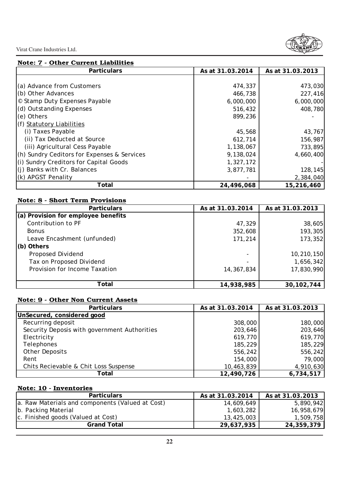

#### **Note: 7 - Other Current Liabilities**

| <b>Particulars</b>                          | As at 31.03.2014 | As at 31.03.2013 |
|---------------------------------------------|------------------|------------------|
|                                             |                  |                  |
| (a) Advance from Customers                  | 474,337          | 473,030          |
| (b) Other Advances                          | 466,738          | 227,416          |
| Stamp Duty Expenses Payable                 | 6,000,000        | 6,000,000        |
| (d) Outstanding Expenses                    | 516,432          | 408,780          |
| (e) Others                                  | 899,236          |                  |
| (f) Statutory Liabilities                   |                  |                  |
| (i) Taxes Payable                           | 45,568           | 43,767           |
| (ii) Tax Deducted at Source                 | 612,714          | 156,987          |
| (iii) Agricultural Cess Payable             | 1,138,067        | 733,895          |
| (h) Sundry Ceditors for Expenses & Services | 9,138,024        | 4,660,400        |
| (i) Sundry Creditors for Capital Goods      | 1,327,172        |                  |
| (j) Banks with Cr. Balances                 | 3,877,781        | 128,145          |
| (k) APGST Penality                          |                  | 2,384,040        |
| <b>Total</b>                                | 24,496,068       | 15,216,460       |

#### **Note: 8 - Short Term Provisions**

| <b>Particulars</b>                  | As at 31.03.2014 | As at 31.03.2013 |
|-------------------------------------|------------------|------------------|
| (a) Provision for employee benefits |                  |                  |
| Contribution to PF                  | 47,329           | 38,605           |
| <b>Bonus</b>                        | 352,608          | 193,305          |
| Leave Encashment (unfunded)         | 171,214          | 173,352          |
| (b) Others                          |                  |                  |
| Proposed Dividend                   |                  | 10,210,150       |
| Tax on Proposed Dividend            |                  | 1,656,342        |
| Provision for Income Taxation       | 14,367,834       | 17,830,990       |
|                                     |                  |                  |
| Total                               | 14,938,985       | 30, 102, 744     |

#### **Note: 9 - Other Non Current Assets**

| <b>Particulars</b>                           | As at 31.03.2014 | As at 31.03.2013 |
|----------------------------------------------|------------------|------------------|
| UnSecured, considered good                   |                  |                  |
| Recurring deposit                            | 308,000          | 180,000          |
| Security Deposis with government Authorities | 203,646          | 203,646          |
| Electricity                                  | 619,770          | 619,770          |
| Telephones                                   | 185,229          | 185,229          |
| <b>Other Deposits</b>                        | 556,242          | 556,242          |
| Rent                                         | 154,000          | 79,000           |
| Chits Recievable & Chit Loss Suspense        | 10,463,839       | 4,910,630        |
| Total                                        | 12,490,726       | 6,734,517        |

#### **Note: 10 - Inventories**

| <b>Particulars</b>                               | As at 31.03.2014 | As at 31.03.2013 |
|--------------------------------------------------|------------------|------------------|
| a. Raw Materials and components (Valued at Cost) | 14,609,649       | 5,890,942        |
| b. Packing Material                              | 1,603,282        | 16,958,679       |
| c. Finished goods (Valued at Cost)               | 13,425,003       | 1,509,758        |
| <b>Grand Total</b>                               | 29,637,935       | 24,359,379       |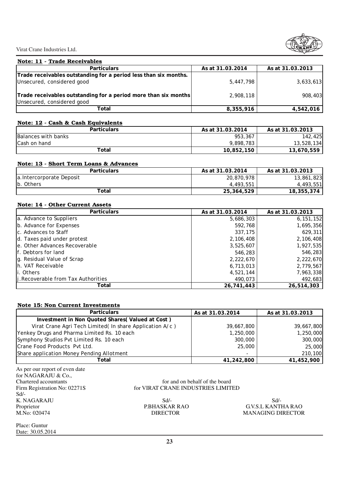

| Note: 11 - Trade Receivables                                                                   |                  |                  |
|------------------------------------------------------------------------------------------------|------------------|------------------|
| Particulars                                                                                    | As at 31.03.2014 | As at 31.03.2013 |
| Trade receivables outstanding for a period less than six months.<br>Unsecured, considered good | 5,447,798        | 3,633,613        |
| Trade receivables outstanding for a period more than six months<br>Unsecured, considered good  | 2,908,118        | 908,403          |
| Total                                                                                          | 8,355,916        | 4,542,016        |

#### **Note: 12 - Cash & Cash Equivalents**

| <b>Particulars</b>  | As at 31.03.2014 | As at 31.03.2013 |
|---------------------|------------------|------------------|
| Balances with banks | 953,367          | 142,425          |
| Cash on hand        | 9,898,783        | 13,528,134       |
| Total               | 10,852,150       | 13,670,559       |

#### **Note: 13 - Short Term Loans & Advances**

| <b>Particulars</b>        | As at 31.03.2014 | As at 31.03.2013 |
|---------------------------|------------------|------------------|
| a. Intercorporate Deposit | 20,870,978       | 13,861,823       |
| b. Others                 | 4,493,551        | 4,493,551        |
| Total                     | 25,364,529       | 18,355,374       |

#### **Note: 14 - Other Current Assets**

| <b>Particulars</b>                        | As at 31.03.2014 | As at 31.03.2013 |
|-------------------------------------------|------------------|------------------|
| a. Advance to Suppliers                   | 5,686,303        | 6, 151, 152      |
| b. Advance for Expenses                   | 592,768          | 1,695,356        |
| Ic. Advances to Staff                     | 337,175          | 629,311          |
| d. Taxes paid under protest               | 2,106,408        | 2,106,408        |
| e. Other Advances Recoverable             | 3,525,607        | 1,927,535        |
| f. Debtors for land                       | 546,283          | 546,283          |
| g. Residual Value of Scrap                | 2,222,670        | 2,222,670        |
| Ih. VAT Receivable                        | 6,713,013        | 2,779,567        |
| i. Others                                 | 4,521,144        | 7,963,338        |
| <i>i.Recoverable from Tax Authorities</i> | 490,073          | 492,683          |
| Total                                     | 26,741,443       | 26,514,303       |

#### **Note 15: Non Current Investments**

| <b>Particulars</b>                                       | As at 31.03.2014         | As at 31.03.2013 |
|----------------------------------------------------------|--------------------------|------------------|
| Investment in Non Quoted Shares (Valued at Cost)         |                          |                  |
| Virat Crane Agri Tech Limited (In share Application A/c) | 39,667,800               | 39,667,800       |
| Yenkey Drugs and Pharma Limited Rs. 10 each              | 1,250,000                | 1,250,000        |
| Symphony Studios Pvt Limited Rs. 10 each                 | 300,000                  | 300,000          |
| Crane Food Products Pvt Ltd.                             | 25,000                   | 25,000           |
| Share application Money Pending Allotment                | $\overline{\phantom{0}}$ | 210,100          |
| Total                                                    | 41,242,800               | 41,452,900       |

As per our report of even date for NAGARAJU & Co.,<br>Chartered accountants Sd/- K. NAGARAJU Sd/- Sd/- M.No: 020474 DIRECTOR MANAGING DIRECTOR

Chartered accountants<br>
Firm Registration No: 02271S<br>
for VIRAT CRANE INDUSTRIES LIMIT for VIRAT CRANE INDUSTRIES LIMITED

G.V.S.L KANTHA RAO

Place: Guntur Date: 30.05.2014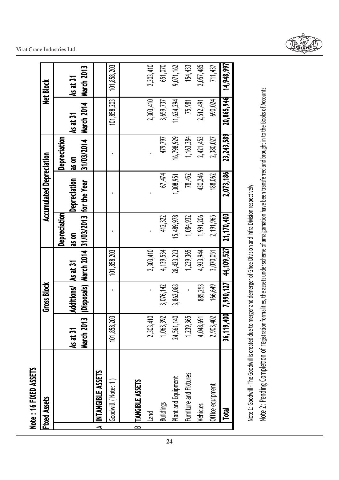|   | Note: 16 FIXED ASSETS  |            |                     |                                                  |                        |                                 |                        |             |             |
|---|------------------------|------------|---------------------|--------------------------------------------------|------------------------|---------------------------------|------------------------|-------------|-------------|
|   | <b>Fixed Assets</b>    |            | <b>Gross Block</b>  |                                                  |                        | <b>Accumulated Depreciation</b> |                        |             | Net Block   |
|   |                        | As at 31   | Additions/ As at 31 |                                                  | Depreciation<br>las on | <b>Depreciation</b>             | Depreciation<br>las on | As at 31    | As at 31    |
|   | INTANGIBLE ASSETS      | March 2013 |                     | (Disposals) March 2014  31/03/2013  for the Year |                        |                                 | 31/03/2014             | March 2014  | March 2013  |
|   | Goodwill (Note: 1)     | 101,858,20 |                     | 101,858,203                                      |                        |                                 |                        | 101,858,203 | 101,858,203 |
|   |                        |            |                     |                                                  |                        |                                 |                        |             |             |
| ക | TANGIBLE ASSETS        |            |                     |                                                  |                        |                                 |                        |             |             |
|   | <b>Land</b>            | 2,303,410  |                     | 2,303,410                                        |                        |                                 |                        | 2,303,410   | 2,303,410   |
|   | <b>Buildings</b>       | 1,063,392  | 3,076,142           | 4,139,534                                        | 412,322                | 67,474                          | 479,797                | 3,659,737   | 651,070     |
|   | Plant and Equipment    | 24,561,140 | 3,862,083           | 28, 423, 223                                     | 15,489,978             | 1,308,951                       | 16,798,929             | 11,624,294  | 9,071,162   |
|   | Furniture and Fixtures | 1,239,365  |                     | 1,239,365                                        | 1,084,932              | 78,452                          | 1, 163, 384            | 75,981      | 154,433     |
|   | Vehicles               | 4,048,691  | 885,253             | 4,933,944                                        | 1,991,206              | 430,246                         | 2,421,453              | 2,512,491   | 2,057,485   |
|   | Office equipment       | 2,903,402  | 166,649             | 3,070,051                                        | 2,191,965              | 188,062                         | 2,380,027              | 690,024     | 711,437     |

14,948,95

20,865,946

23, 243, 589

2,073,186

Note 1: Goodwill - The Goodwill is created due to merger and demerger of Ghee Division and Infra Division respectively. Note 1: Goodwill - The Goodwill is created due to merger and demerger of Ghee Division and Infra Division respectively.

 **Total 36,119,400 7,990,127 44,109,527 21,170,403 2,073,186 23,243,589 20,865,946 14,948,997** 

36, 119, 400 7, 990, 127 44, 109, 527 21, 170, 403

**Total** 

Note 2: Pending Completion of registration formalities, the assets under scheme of amalgamation have been transferred and brought in to the Books of Accounts. Note 2: Pending Completion of registration formalities, the assets under scheme of amalgamation have been transferred and brought in to the Books of Accounts.



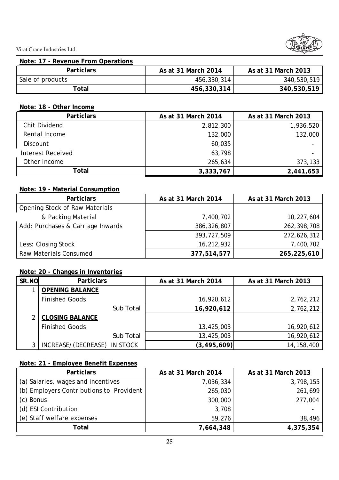

#### **Note: 17 - Revenue From Operations**

| <b>Particlars</b> | As at 31 March 2014 | As at 31 March 2013 |
|-------------------|---------------------|---------------------|
| Sale of products  | 456,330,314         | 340,530,519         |
| Total             | 456,330,314         | 340,530,519         |

#### **Note: 18 - Other Income**

| <b>Particlars</b>    | As at 31 March 2014 | As at 31 March 2013 |
|----------------------|---------------------|---------------------|
| <b>Chit Dividend</b> | 2,812,300           | 1,936,520           |
| Rental Income        | 132,000             | 132,000             |
| Discount             | 60,035              |                     |
| Interest Received    | 63,798              |                     |
| Other income         | 265,634             | 373,133             |
| Total                | 3,333,767           | 2,441,653           |

#### **Note: 19 - Material Consumption**

| <b>Particlars</b>                     | As at 31 March 2014 | As at 31 March 2013 |
|---------------------------------------|---------------------|---------------------|
| <b>Opening Stock of Raw Materials</b> |                     |                     |
| & Packing Material                    | 7,400,702           | 10,227,604          |
| Add: Purchases & Carriage Inwards     | 386, 326, 807       | 262,398,708         |
|                                       | 393, 727, 509       | 272,626,312         |
| Less: Closing Stock                   | 16,212,932          | 7,400,702           |
| Raw Materials Consumed                | 377,514,577         | 265,225,610         |

#### **Note: 20 - Changes in Inventories**

| SR.NO | <b>Particlars</b>               | As at 31 March 2014 | As at 31 March 2013 |
|-------|---------------------------------|---------------------|---------------------|
|       | <b>OPENING BALANCE</b>          |                     |                     |
|       | <b>Finished Goods</b>           | 16,920,612          | 2,762,212           |
|       | Sub Total                       | 16,920,612          | 2,762,212           |
|       | <b>CLOSING BALANCE</b>          |                     |                     |
|       | <b>Finished Goods</b>           | 13,425,003          | 16,920,612          |
|       | Sub Total                       | 13,425,003          | 16,920,612          |
| 3     | INCREASE/(DECREASE)<br>IN STOCK | (3, 495, 609)       | 14, 158, 400        |

#### **Note: 21 - Employee Benefit Expenses**

| <b>Particlars</b>                        | As at 31 March 2014 | As at 31 March 2013 |
|------------------------------------------|---------------------|---------------------|
| (a) Salaries, wages and incentives       | 7,036,334           | 3,798,155           |
| (b) Employers Contributions to Provident | 265,030             | 261,699             |
| (c) Bonus                                | 300,000             | 277,004             |
| (d) ESI Contribution                     | 3,708               |                     |
| (e) Staff welfare expenses               | 59,276              | 38,496              |
| Total                                    | 7,664,348           | 4,375,354           |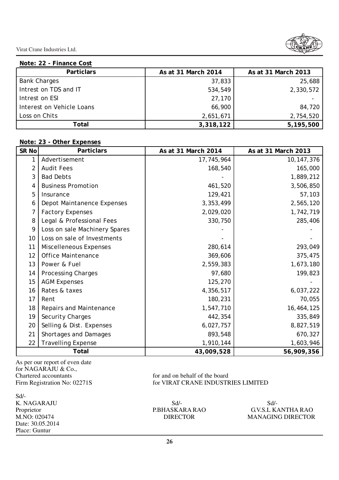

#### **Note: 22 - Finance Cost**

| <b>Particlars</b>         | As at 31 March 2014 | As at 31 March 2013 |
|---------------------------|---------------------|---------------------|
| <b>Bank Charges</b>       | 37,833              | 25,688              |
| Intrest on TDS and IT     | 534,549             | 2,330,572           |
| Intrest on ESI            | 27,170              |                     |
| Interest on Vehicle Loans | 66,900              | 84,720              |
| Loss on Chits             | 2,651,671           | 2,754,520           |
| Total                     | 3,318,122           | 5,195,500           |

#### **Note: 23 - Other Expenses**

| SR <sub>No</sub> | <b>Particlars</b>             | As at 31 March 2014 | As at 31 March 2013 |
|------------------|-------------------------------|---------------------|---------------------|
| 1                | Advertisement                 | 17,745,964          | 10, 147, 376        |
| $\overline{2}$   | <b>Audit Fees</b>             | 168,540             | 165,000             |
| 3                | <b>Bad Debts</b>              |                     | 1,889,212           |
| 4                | <b>Business Promotion</b>     | 461,520             | 3,506,850           |
| 5                | Insurance                     | 129,421             | 57,103              |
| 6                | Depot Maintanence Expenses    | 3,353,499           | 2,565,120           |
| 7                | <b>Factory Expenses</b>       | 2,029,020           | 1,742,719           |
| 8                | Legal & Professional Fees     | 330,750             | 285,406             |
| 9                | Loss on sale Machinery Spares |                     |                     |
| 10               | Loss on sale of Investments   |                     |                     |
| 11               | <b>Miscelleneous Expenses</b> | 280,614             | 293,049             |
| 12               | <b>Office Maintenance</b>     | 369,606             | 375,475             |
| 13               | Power & Fuel                  | 2,559,383           | 1,673,180           |
| 14               | <b>Processing Charges</b>     | 97,680              | 199,823             |
| 15               | <b>AGM Expenses</b>           | 125,270             |                     |
| 16               | Rates & taxes                 | 4,356,517           | 6,037,222           |
| 17               | Rent                          | 180,231             | 70,055              |
| 18               | Repairs and Maintenance       | 1,547,710           | 16,464,125          |
| 19               | Security Charges              | 442,354             | 335,849             |
| 20               | Selling & Dist. Expenses      | 6,027,757           | 8,827,519           |
| 21               | Shortages and Damages         | 893,548             | 670,327             |
| 22               | <b>Travelling Expense</b>     | 1,910,144           | 1,603,946           |
|                  | Total                         | 43,009,528          | 56,909,356          |

As per our report of even date for NAGARAJU & Co.,<br>Chartered accountants

Sd/- Date: 30.05.2014 Place: Guntur

for and on behalf of the board Firm Registration No: 02271S for VIRAT CRANE INDUSTRIES LIMITED

K. NAGARAJU Sd/-<br>Proprietor B. P. BHASKARA RAO G.V.S.L KA

Proprietor P.BHASKARA RAO G.V.S.L KANTHA RAO M.NO: 020474 P.BHASKARA RAO DIRECTOR MANAGING DIRECTOR MANAGING DIRECTOR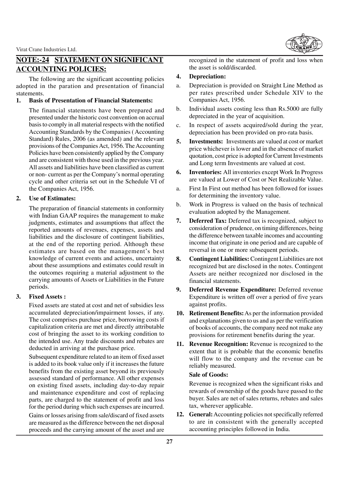

#### **NOTE:-24 STATEMENT ON SIGNIFICANT ACCOUNTING POLICIES:**

The following are the significant accounting policies adopted in the paration and presentation of financial statements.

#### **1. Basis of Presentation of Financial Statements:**

The financial statements have been prepared and presented under the historic cost convention on accrual basis to comply in all material respects with the notified Accounting Standards by the Companies ( Accounting Standard) Rules, 2006 (as amended) and the relevant provisions of the Companies Act, 1956. The Accounting Policies have been consistently applied by the Company and are consistent with those used in the previous year. All assets and liabilities have been classified as current or non- current as per the Company's normal operating cycle and other criteria set out in the Schedule VI of the Companies Act, 1956.

#### **2. Use of Estimates:**

The preparation of financial statements in conformity with Indian GAAP requires the management to make judgments, estimates and assumptions that affect the reported amounts of revenues, expenses, assets and liabilities and the disclosure of contingent liabilities, at the end of the reporting period. Although these estimates are based on the management's best knowledge of current events and actions, uncertainty about these assumptions and estimates could result in the outcomes requiring a material adjustment to the carrying amounts of Assets or Liabilities in the Future periods.

#### **3. Fixed Assets :**

Fixed assets are stated at cost and net of subsidies less accumulated depreciation/impairment losses, if any. The cost comprises purchase price, borrowing costs if capitalization criteria are met and directly attributable cost of bringing the asset to its working condition to the intended use. Any trade discounts and rebates are deducted in arriving at the purchase price.

Subsequent expenditure related to an item of fixed asset is added to its book value only if it increases the future benefits from the existing asset beyond its previously assessed standard of performance. All other expenses on existing fixed assets, including day-to-day repair and maintenance expenditure and cost of replacing parts, are charged to the statement of profit and loss for the period during which such expenses are incurred.

Gains or losses arising from sale/discard of fixed assets are measured as the difference between the net disposal proceeds and the carrying amount of the asset and are recognized in the statement of profit and loss when the asset is sold/discarded.

#### **4. Depreciation:**

- a. Depreciation is provided on Straight Line Method as per rates prescribed under Schedule XIV to the Companies Act, 1956.
- b. Individual assets costing less than Rs.5000 are fully depreciated in the year of acquisition.
- c. In respect of assets acquired/sold during the year, depreciation has been provided on pro-rata basis.
- **5. Investments:** Investments are valued at cost or market price whichever is lower and in the absence of market quotation, cost price is adopted for Current Investments and Long term Investments are valued at cost.
- **6. Inventories:** All inventories except Work In Progress are valued at Lower of Cost or Net Realizable Value.
- a. First In First out method has been followed for issues for determining the inventory value.
- b. Work in Progress is valued on the basis of technical evaluation adopted by the Management.
- **7. Deferred Tax:** Deferred tax is recognized, subject to consideration of prudence, on timing differences, being the difference between taxable incomes and accounting income that originate in one period and are capable of reversal in one or more subsequent periods.
- **8. Contingent Liabilities:** Contingent Liabilities are not recognized but are disclosed in the notes. Contingent Assets are neither recognized nor disclosed in the financial statements.
- **9. Deferred Revenue Expenditure:** Deferred revenue Expenditure is written off over a period of five years against profits.
- **10. Retirement Benefits:** As per the information provided and explanations given to us and as per the verification of books of accounts, the company need not make any provisions for retirement benefits during the year.
- **11. Revenue Recognition:** Revenue is recognized to the extent that it is probable that the economic benefits will flow to the company and the revenue can be reliably measured.

#### **Sale of Goods:**

Revenue is recognized when the significant risks and rewards of ownership of the goods have passed to the buyer. Sales are net of sales returns, rebates and sales tax, wherever applicable.

**12. General:** Accounting policies not specifically referred to are in consistent with the generally accepted accounting principles followed in India.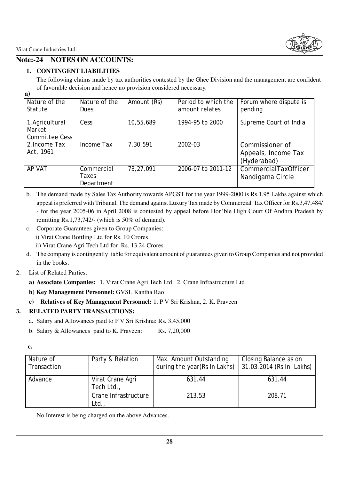

#### **Note:-24 NOTES ON ACCOUNTS:**

#### **1. CONTINGENT LIABILITIES**

The following claims made by tax authorities contested by the Ghee Division and the management are confident of favorable decision and hence no provision considered necessary.

| I             |               |
|---------------|---------------|
| ×<br>.,<br>۰. | ë<br>۰.<br>۰. |

| Nature of the         | Nature of the | Amount (Rs) | Period to which the | Forum where dispute is |
|-----------------------|---------------|-------------|---------------------|------------------------|
| Statute               | Dues          |             | amount relates      | pending                |
|                       |               |             |                     |                        |
|                       |               |             |                     |                        |
| 1. Agricultural       | Cess          | 10,55,689   | 1994-95 to 2000     | Supreme Court of India |
| Market                |               |             |                     |                        |
| <b>Committee Cess</b> |               |             |                     |                        |
| 2. Income Tax         | Income Tax    | 7,30,591    | 2002-03             | Commissioner of        |
| Act, 1961             |               |             |                     | Appeals, Income Tax    |
|                       |               |             |                     | (Hyderabad)            |
|                       |               |             |                     |                        |
| AP VAT                | Commercial    | 73,27,091   | 2006-07 to 2011-12  | CommercialTaxOfficer   |
|                       | Taxes         |             |                     | Nandigama Circle       |
|                       | Department    |             |                     |                        |

- b. The demand made by Sales Tax Authority towards APGST for the year 1999-2000 is Rs.1.95 Lakhs against which appeal is preferred with Tribunal. The demand against Luxury Tax made by Commercial Tax Officer for Rs.3,47,484/ - for the year 2005-06 in April 2008 is contested by appeal before Hon'ble High Court Of Andhra Pradesh by remitting Rs.1,73,742/- (which is 50% of demand).
- c. Corporate Guarantees given to Group Companies: i) Virat Crane Bottling Ltd for Rs. 10 Crores ii) Virat Crane Agri Tech Ltd for Rs. 13.24 Crores
- d. The company is contingently liable for equivalent amount of guarantees given to Group Companies and not provided in the books.
- 2. List of Related Parties:
	- **a) Associate Companies:** 1. Virat Crane Agri Tech Ltd. 2. Crane Infrastructure Ltd
	- **b) Key Management Personnel:** GVSL Kantha Rao
	- **c) Relatives of Key Management Personnel:** 1. P V Sri Krishna, 2. K. Praveen

#### **3. RELATED PARTY TRANSACTIONS:**

- a. Salary and Allowances paid to P V Sri Krishna: Rs. 3,45,000
- b. Salary & Allowances paid to K. Praveen: Rs. 7,20,000

**c.**

| Nature of<br>Transaction | Party & Relation               | Max. Amount Outstanding<br>during the year (Rs In Lakhs) | Closing Balance as on<br>$31.03.2014$ (Rs In Lakhs) |
|--------------------------|--------------------------------|----------------------------------------------------------|-----------------------------------------------------|
| Advance                  | Virat Crane Agri<br>Tech Ltd., | 631.44                                                   | 631.44                                              |
|                          | Crane Infrastructure<br>Ltd.,  | 213.53                                                   | 208.71                                              |

No Interest is being charged on the above Advances.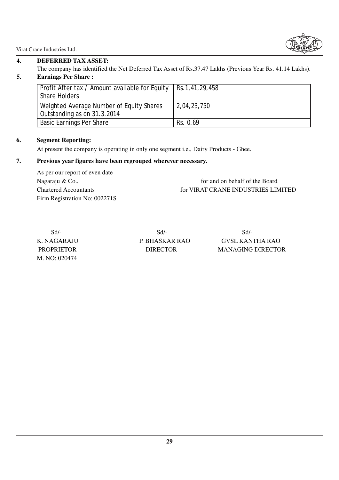

#### **4. DEFERRED TAX ASSET:**

The company has identified the Net Deferred Tax Asset of Rs.37.47 Lakhs (Previous Year Rs. 41.14 Lakhs).

#### **5. Earnings Per Share :**

| Profit After tax / Amount available for Equity   $Rs.1,41,29,458$<br><b>Share Holders</b> |             |
|-------------------------------------------------------------------------------------------|-------------|
| Weighted Average Number of Equity Shares<br>Outstanding as on 31.3.2014                   | 2,04,23,750 |
| Basic Earnings Per Share                                                                  | Rs. 0.69    |

#### **6. Segment Reporting:**

At present the company is operating in only one segment i.e., Dairy Products - Ghee.

#### **7. Previous year figures have been regrouped wherever necessary.**

| As per our report of even date |                                    |
|--------------------------------|------------------------------------|
| Nagaraju & Co.,                | for and on behalf of the Board     |
| <b>Chartered Accountants</b>   | for VIRAT CRANE INDUSTRIES LIMITED |
| Firm Registration No: 002271S  |                                    |

| Sd/-              |  |
|-------------------|--|
| K. NAGARAJU       |  |
| <b>PROPRIETOR</b> |  |
| M. NO: 020474     |  |

Sd/- Sd/- Sd/-

P. BHASKAR RAO GVSL KANTHA RAO DIRECTOR MANAGING DIRECTOR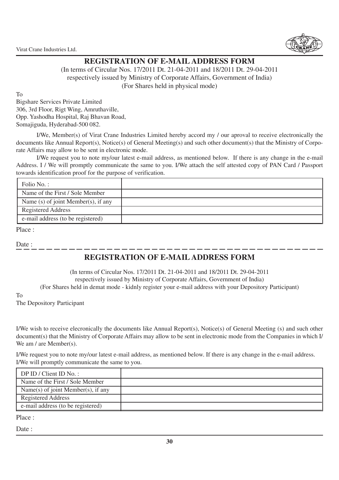

#### **REGISTRATION OF E-MAIL ADDRESS FORM**

(In terms of Circular Nos. 17/2011 Dt. 21-04-2011 and 18/2011 Dt. 29-04-2011 respectively issued by Ministry of Corporate Affairs, Government of India) (For Shares held in physical mode)

To

Bigshare Services Private Limited 306, 3rd Floor, Rigt Wing, Amruthaville, Opp. Yashodha Hospital, Raj Bhavan Road, Somajiguda, Hyderabad-500 082.

I/We, Member(s) of Virat Crane Industries Limited hereby accord my / our aproval to receive electronically the documents like Annual Report(s), Notice(s) of General Meeting(s) and such other document(s) that the Ministry of Corporate Affairs may allow to be sent in electronic mode.

I/We request you to note my/our latest e-mail address, as mentioned below. If there is any change in the e-mail Address. I / We will promptly communicate the same to you. I/We attach the self attested copy of PAN Card / Passport towards identification proof for the purpose of verification.

| Folio No.:                                |  |
|-------------------------------------------|--|
| Name of the First / Sole Member           |  |
| Name $(s)$ of joint Member $(s)$ , if any |  |
| <b>Registered Address</b>                 |  |
| e-mail address (to be registered)         |  |

Place :

Date :

#### **REGISTRATION OF E-MAIL ADDRESS FORM**

(In terms of Circular Nos. 17/2011 Dt. 21-04-2011 and 18/2011 Dt. 29-04-2011 respectively issued by Ministry of Corporate Affairs, Government of India) (For Shares held in demat mode - kidnly register your e-mail address with your Depository Participant)

#### To

The Depository Participant

I/We wish to receive elecronically the documents like Annual Report(s), Notice(s) of General Meeting (s) and such other document(s) that the Ministry of Corporate Affairs may allow to be sent in electronic mode from the Companies in which I/ We am / are Member(s).

I/We request you to note my/our latest e-mail address, as mentioned below. If there is any change in the e-mail address. I/We will promptly communicate the same to you.

| DP ID / Client ID No. :                   |  |
|-------------------------------------------|--|
| Name of the First / Sole Member           |  |
| Name $(s)$ of joint Member $(s)$ , if any |  |
| <b>Registered Address</b>                 |  |
| e-mail address (to be registered)         |  |

Place :

Date: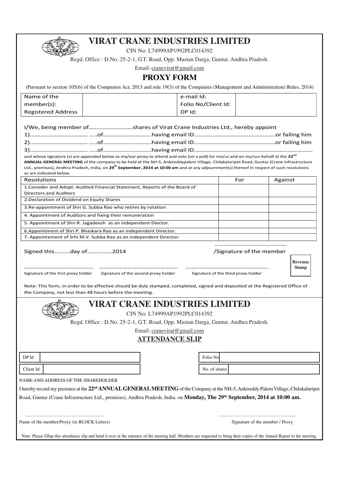|                                                                                                                                                                                                                                                                                                                                                      | <b>VIRAT CRANE INDUSTRIES LIMITED</b>                                                                                    |                                                                 |                                 |
|------------------------------------------------------------------------------------------------------------------------------------------------------------------------------------------------------------------------------------------------------------------------------------------------------------------------------------------------------|--------------------------------------------------------------------------------------------------------------------------|-----------------------------------------------------------------|---------------------------------|
|                                                                                                                                                                                                                                                                                                                                                      | CIN No: L74999AP1992PLC014392                                                                                            |                                                                 |                                 |
| Regd. Office: D.No. 25-2-1, G.T. Road, Opp. Mastan Darga, Guntur. Andhra Pradesh.                                                                                                                                                                                                                                                                    |                                                                                                                          |                                                                 |                                 |
|                                                                                                                                                                                                                                                                                                                                                      | Email: cranevirat@gmail.com                                                                                              |                                                                 |                                 |
|                                                                                                                                                                                                                                                                                                                                                      | <b>PROXY FORM</b>                                                                                                        |                                                                 |                                 |
| (Pursuant to section 105(6) of the Companies Act, 2013 and rule 19(3) of the Companies (Management and Administration) Rules, 2014)                                                                                                                                                                                                                  |                                                                                                                          |                                                                 |                                 |
| Name of the                                                                                                                                                                                                                                                                                                                                          | e-mail Id:                                                                                                               |                                                                 |                                 |
| member(s):                                                                                                                                                                                                                                                                                                                                           | Folio No/Client Id:                                                                                                      |                                                                 |                                 |
| <b>Registered Address</b>                                                                                                                                                                                                                                                                                                                            | DP Id:                                                                                                                   |                                                                 |                                 |
|                                                                                                                                                                                                                                                                                                                                                      |                                                                                                                          |                                                                 |                                 |
| I/We, being member ofshares of Virat Crane Industries Ltd., hereby appoint                                                                                                                                                                                                                                                                           |                                                                                                                          |                                                                 |                                 |
|                                                                                                                                                                                                                                                                                                                                                      |                                                                                                                          |                                                                 |                                 |
|                                                                                                                                                                                                                                                                                                                                                      |                                                                                                                          |                                                                 |                                 |
| and whose signature (s) are appended below as my/our proxy to attend and vote (on a poll) for me/us and on my/our behalf at the 22 <sup>nd</sup>                                                                                                                                                                                                     |                                                                                                                          |                                                                 |                                 |
| ANNUAL GENERAL MEETING of the company to be held at the NH-5, Ankireddypalem Village, Chilakaluripet Road, Guntur (Crane Infrastructure<br>Ltd., premises), Andhra Pradesh, India, on 29 <sup>th</sup> September, 2014 at 10:00 am and at any adjournment(s) thereof in respect of such resolutions<br>as are indicated below.<br><b>Resolutions</b> |                                                                                                                          | For                                                             | Against                         |
| 1. Consider and Adopt: Audited Financial Statement, Reports of the Board of<br><b>Directors and Auditors</b>                                                                                                                                                                                                                                         |                                                                                                                          |                                                                 |                                 |
| 2. Declaration of Dividend on Equity Shares                                                                                                                                                                                                                                                                                                          |                                                                                                                          |                                                                 |                                 |
| 3. Re-appointment of Shri G. Subba Rao who retires by rotation<br>4. Appointment of Auditors and fixing their remuneration                                                                                                                                                                                                                           |                                                                                                                          |                                                                 |                                 |
| 5. Appointment of Shri R. Jagadeesh as an independent Diector.                                                                                                                                                                                                                                                                                       |                                                                                                                          |                                                                 |                                 |
| 6. Appointment of Shri P. Bhaskara Rao as an independent Director.                                                                                                                                                                                                                                                                                   |                                                                                                                          |                                                                 |                                 |
| 7. Appointement of Srhi M.V. Subba Rao as an independent Director.                                                                                                                                                                                                                                                                                   |                                                                                                                          |                                                                 |                                 |
| Signed thisday of2014<br>Signature of the first proxy holder<br>Signature of the second proxy holder<br>Note: This form, in order to be effective should be duly stamped, completed, signed and deposited at the Registered Office of<br>the Company, not less than 48 hours before the meeting.                                                     |                                                                                                                          | /Signature of the member<br>Signature of the third proxy holder | <b>Revenue</b><br><b>Stamp</b>  |
| Regd. Office : D.No. 25-2-1, G.T. Road, Opp. Mastan Darga, Guntur. Andhra Pradesh.                                                                                                                                                                                                                                                                   | VIRAT CRANE INDUSTRIES LIMITED<br>CIN No: L74999AP1992PLC014392<br>Email: cranevirat@gmail.com<br><b>ATTENDANCE SLIP</b> |                                                                 |                                 |
| DP Id                                                                                                                                                                                                                                                                                                                                                | Folio No                                                                                                                 |                                                                 |                                 |
| Client Id                                                                                                                                                                                                                                                                                                                                            | No. of shares                                                                                                            |                                                                 |                                 |
| NAME AND ADDRESS OF THE SHAREHOLDER                                                                                                                                                                                                                                                                                                                  |                                                                                                                          |                                                                 |                                 |
| I hereby record my presence at the 22 <sup>nd</sup> ANNUAL GENERAL MEETING of the Company at the NH-5, Ankireddy Palem Village, Chilakaluripet                                                                                                                                                                                                       |                                                                                                                          |                                                                 |                                 |
| Road, Guntur (Crane Infrastructure Ltd., premises), Andhra Pradesh, India. on <b>Monday, The 29<sup>th</sup> September, 2014 at 10:00 am.</b>                                                                                                                                                                                                        |                                                                                                                          |                                                                 |                                 |
| Name of the member/Proxy (in BLOCK Letters)                                                                                                                                                                                                                                                                                                          |                                                                                                                          |                                                                 | Signature of the member / Proxy |
| Note: Please fillup this attendance slip and hand it over at the entrance of the meeting hall. Members are requested to bring their copies of the Annual Report to the meeting.                                                                                                                                                                      |                                                                                                                          |                                                                 |                                 |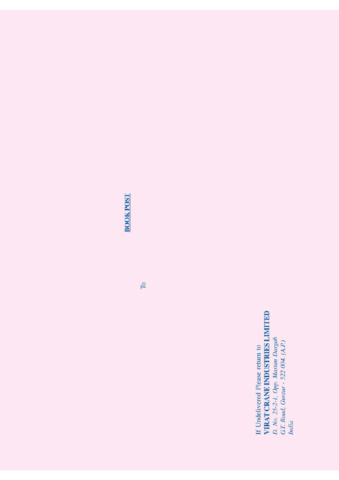If Undelivered Please return to<br>VIRAT CRANE INDUSTRIES LIMITED<br>D. No. 25-2-1, Opp. Mastan Dargah<br>G.T. Road, Guntur - 522 004. (A.P.)<br>India

# **BOOK POST**

 $\overline{\text{r}}$